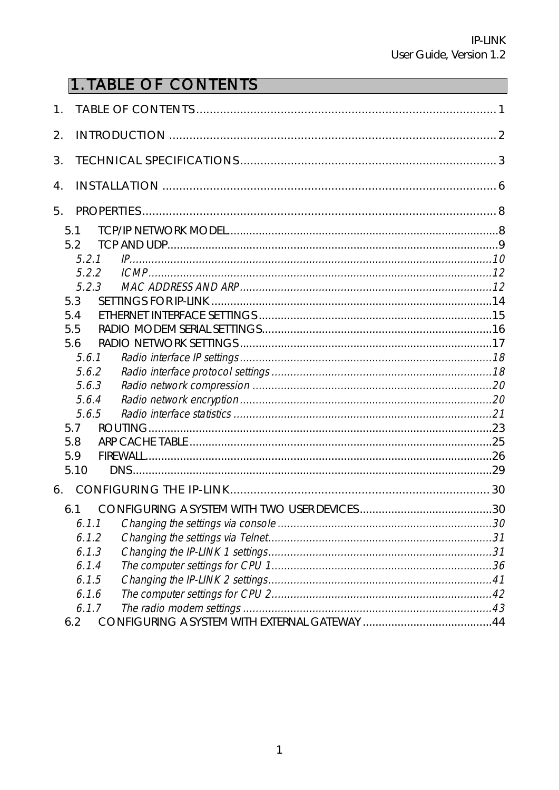# **1. TABLE OF CONTENTS**

| 1. |                                                                                                                                           |  |
|----|-------------------------------------------------------------------------------------------------------------------------------------------|--|
| 2. |                                                                                                                                           |  |
| 3. |                                                                                                                                           |  |
| 4. |                                                                                                                                           |  |
| 5. |                                                                                                                                           |  |
|    | 5.1<br>5.2<br>5.2.1<br>5.2.2<br>523<br>5.3<br>5.4<br>5.5<br>5.6<br>5.6.1<br>5.6.2<br>5.6.3<br>5.6.4<br>5.6.5<br>5.7<br>5.8<br>5.9<br>5.10 |  |
| 6. |                                                                                                                                           |  |
|    | 6.1<br>6.1.1<br>6.1.2<br>6.1.3<br>6.1.4<br>6.1.5<br>6.1.6<br>6.1.7                                                                        |  |
|    | 6.2                                                                                                                                       |  |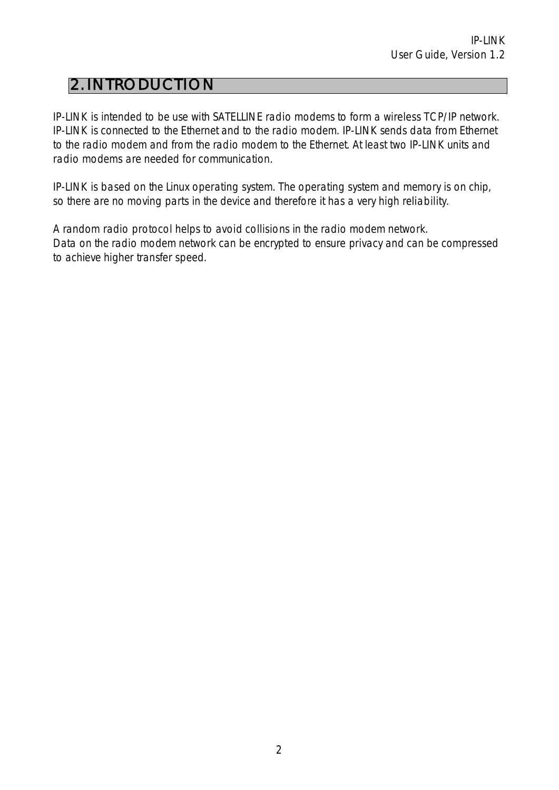## 2. INTRODUCTION

IP-LINK is intended to be use with SATELLINE radio modems to form a wireless TCP/IP network. IP-LINK is connected to the Ethernet and to the radio modem. IP-LINK sends data from Ethernet to the radio modem and from the radio modem to the Ethernet. At least two IP-LINK units and radio modems are needed for communication.

IP-LINK is based on the Linux operating system. The operating system and memory is on chip, so there are no moving parts in the device and therefore it has a very high reliability.

A random radio protocol helps to avoid collisions in the radio modem network. Data on the radio modem network can be encrypted to ensure privacy and can be compressed to achieve higher transfer speed.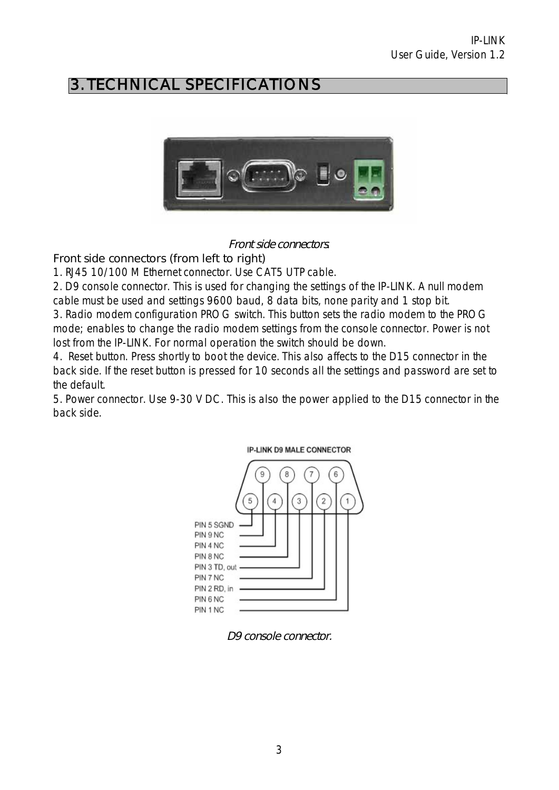# 3. TECHNICAL SPECIFICATIONS



#### Front side connectors*.*

#### Front side connectors (from left to right)

1. RJ45 10/100 M Ethernet connector. Use CAT5 UTP cable.

2. D9 console connector. This is used for changing the settings of the IP-LINK. A null modem cable must be used and settings 9600 baud, 8 data bits, none parity and 1 stop bit.

3. Radio modem configuration PROG switch. This button sets the radio modem to the PROG mode; enables to change the radio modem settings from the console connector. Power is not lost from the IP-LINK. For normal operation the switch should be down.

4. Reset button. Press shortly to boot the device. This also affects to the D15 connector in the back side. If the reset button is pressed for 10 seconds all the settings and password are set to the default.

5. Power connector. Use 9-30 V DC. This is also the power applied to the D15 connector in the back side.



D9 console connector.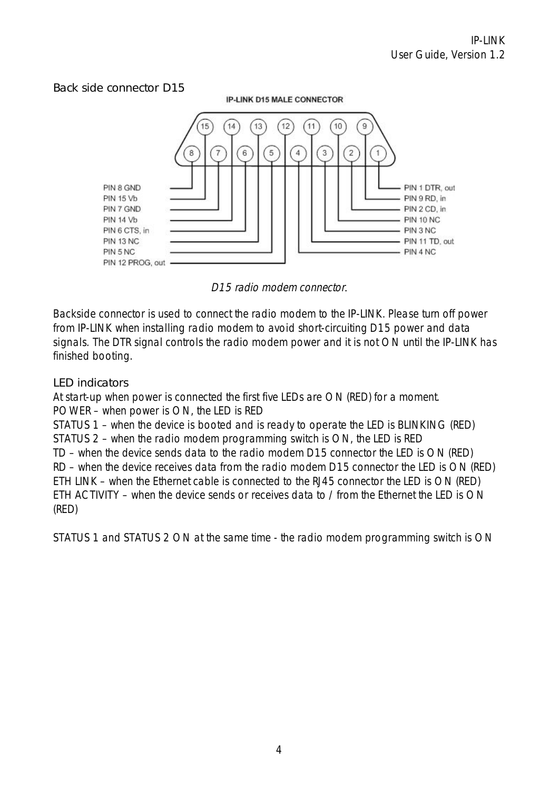#### Back side connector D15

**IP-LINK D15 MALE CONNECTOR** 



D15 radio modem connector*.* 

Backside connector is used to connect the radio modem to the IP-LINK. Please turn off power from IP-LINK when installing radio modem to avoid short-circuiting D15 power and data signals. The DTR signal controls the radio modem power and it is not ON until the IP-LINK has finished booting.

#### LED indicators

At start-up when power is connected the first five LEDs are ON (RED) for a moment. POWER – when power is ON, the LED is RED

STATUS 1 – when the device is booted and is ready to operate the LED is BLINKING (RED) STATUS 2 – when the radio modem programming switch is ON, the LED is RED TD – when the device sends data to the radio modem D15 connector the LED is ON (RED) RD – when the device receives data from the radio modem D15 connector the LED is ON (RED) ETH LINK – when the Ethernet cable is connected to the RJ45 connector the LED is ON (RED) ETH ACTIVITY – when the device sends or receives data to / from the Ethernet the LED is ON (RED)

STATUS 1 and STATUS 2 ON at the same time - the radio modem programming switch is ON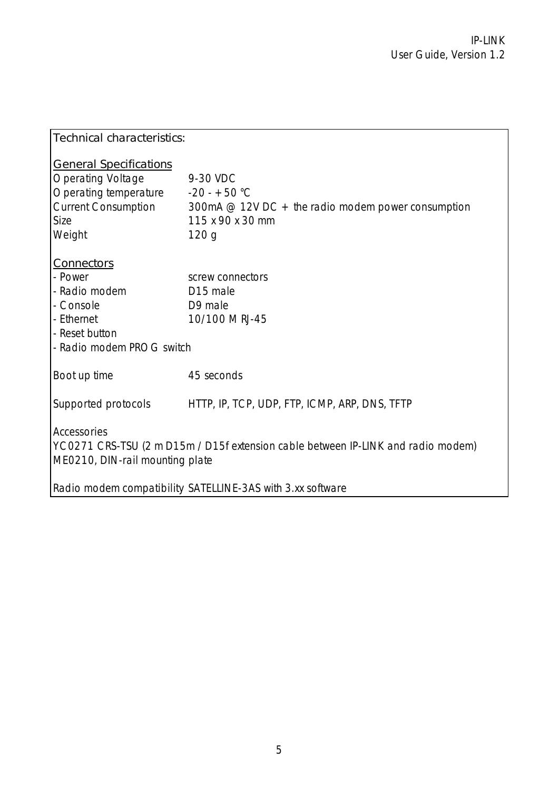| Technical characteristics:                                                                                                                                                                       |                                                                                                          |  |  |  |  |
|--------------------------------------------------------------------------------------------------------------------------------------------------------------------------------------------------|----------------------------------------------------------------------------------------------------------|--|--|--|--|
| <b>General Specifications</b><br><b>Operating Voltage</b><br>Operating temperature $-20 - +50$ °C<br><b>Current Consumption</b><br>Size<br>Weight                                                | 9-30 VDC<br>300mA $@$ 12V DC + the radio modem power consumption<br>115 x 90 x 30 mm<br>120 <sub>q</sub> |  |  |  |  |
| <b>Connectors</b><br>- Power<br>- Radio modem<br>- Console<br>- Ethernet<br>- Reset button<br>- Radio modem PROG switch                                                                          | screw connectors<br>D <sub>15</sub> male<br>D9 male<br>10/100 M RJ-45                                    |  |  |  |  |
| Boot up time                                                                                                                                                                                     | 45 seconds                                                                                               |  |  |  |  |
|                                                                                                                                                                                                  | Supported protocols HTTP, IP, TCP, UDP, FTP, ICMP, ARP, DNS, TFTP                                        |  |  |  |  |
| Accessories<br>YC0271 CRS-TSU (2 m D15m / D15f extension cable between IP-LINK and radio modem)<br>ME0210, DIN-rail mounting plate<br>Radio modem compatibility SATELLINE-3AS with 3.xx software |                                                                                                          |  |  |  |  |
|                                                                                                                                                                                                  |                                                                                                          |  |  |  |  |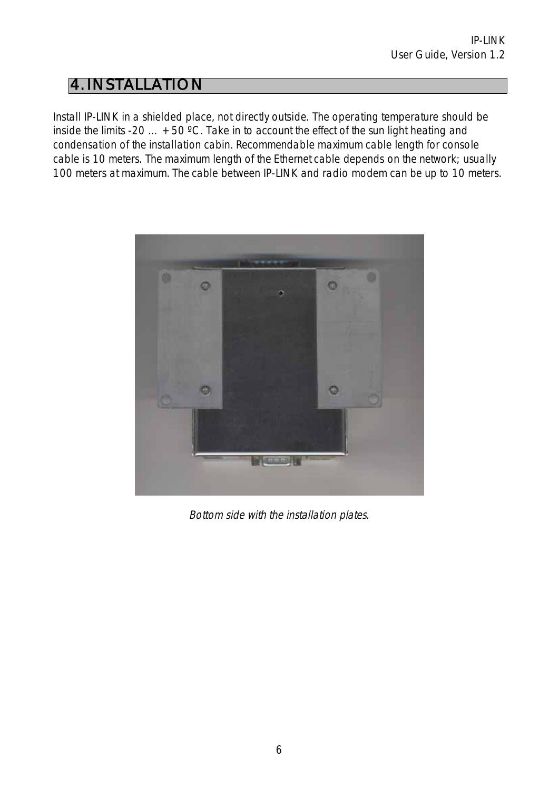## 4. INSTALLATION

Install IP-LINK in a shielded place, not directly outside. The operating temperature should be inside the limits -20  $\ldots$  +50 °C. Take in to account the effect of the sun light heating and condensation of the installation cabin. Recommendable maximum cable length for console cable is 10 meters. The maximum length of the Ethernet cable depends on the network; usually 100 meters at maximum. The cable between IP-LINK and radio modem can be up to 10 meters.



Bottom side with the installation plates.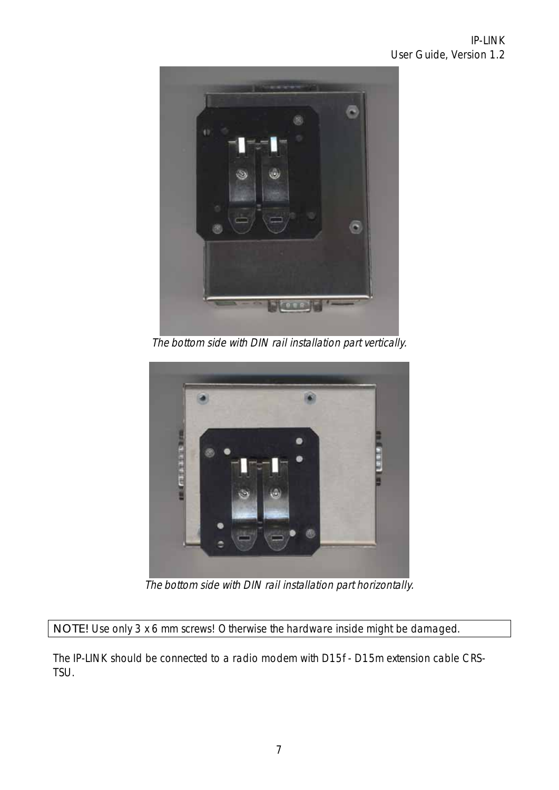

The bottom side with DIN rail installation part vertically.



The bottom side with DIN rail installation part horizontally.

NOTE! Use only 3 x 6 mm screws! Otherwise the hardware inside might be damaged.

The IP-LINK should be connected to a radio modem with D15f - D15m extension cable CRS-TSU.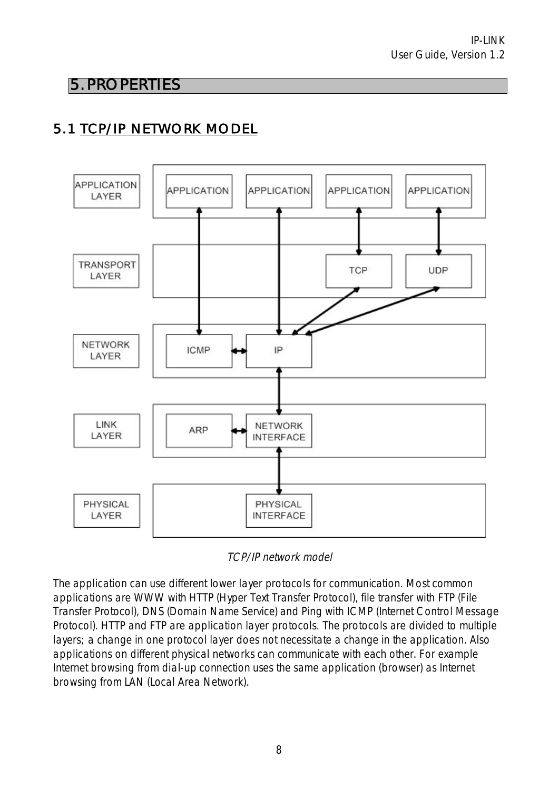## 5. PROPERTIES

# 5.1 TCP/IP NETWORK MODEL



TCP/IP network model

The application can use different lower layer protocols for communication. Most common applications are WWW with HTTP (Hyper Text Transfer Protocol), file transfer with FTP (File Transfer Protocol), DNS (Domain Name Service) and Ping with ICMP (Internet Control Message Protocol). HTTP and FTP are application layer protocols. The protocols are divided to multiple layers; a change in one protocol layer does not necessitate a change in the application. Also applications on different physical networks can communicate with each other. For example Internet browsing from dial-up connection uses the same application (browser) as Internet browsing from LAN (Local Area Network).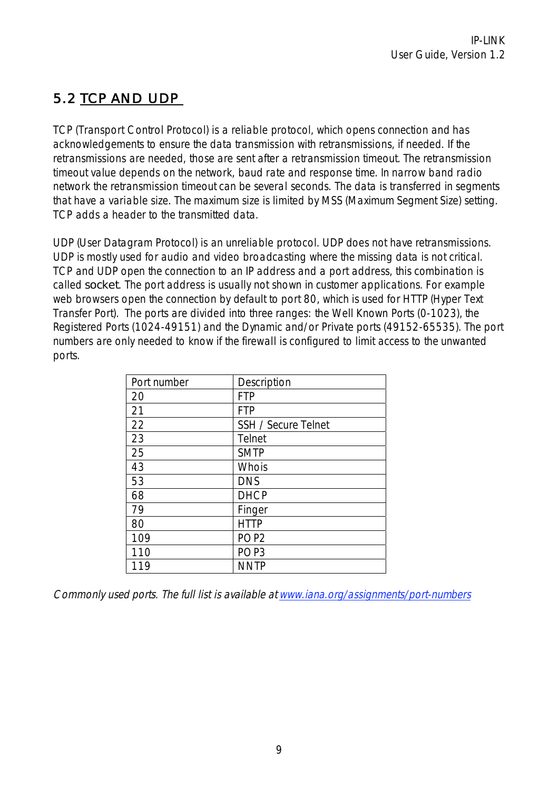## 5.2 TCP AND UDP

TCP (Transport Control Protocol) is a reliable protocol, which opens connection and has acknowledgements to ensure the data transmission with retransmissions, if needed. If the retransmissions are needed, those are sent after a retransmission timeout. The retransmission timeout value depends on the network, baud rate and response time. In narrow band radio network the retransmission timeout can be several seconds. The data is transferred in segments that have a variable size. The maximum size is limited by MSS (Maximum Segment Size) setting. TCP adds a header to the transmitted data.

UDP (User Datagram Protocol) is an unreliable protocol. UDP does not have retransmissions. UDP is mostly used for audio and video broadcasting where the missing data is not critical. TCP and UDP open the connection to an IP address and a port address, this combination is called socket. The port address is usually not shown in customer applications. For example web browsers open the connection by default to port 80, which is used for HTTP (Hyper Text Transfer Port). The ports are divided into three ranges: the Well Known Ports (0-1023), the Registered Ports (1024-49151) and the Dynamic and/or Private ports (49152-65535). The port numbers are only needed to know if the firewall is configured to limit access to the unwanted ports.

| Port number | Description         |
|-------------|---------------------|
| 20          | <b>FTP</b>          |
| 21          | <b>FTP</b>          |
| 22          | SSH / Secure Telnet |
| 23          | Telnet              |
| 25          | <b>SMTP</b>         |
| 43          | Whois               |
| 53          | <b>DNS</b>          |
| 68          | <b>DHCP</b>         |
| 79          | Finger              |
| 80          | <b>HTTP</b>         |
| 109         | POP <sub>2</sub>    |
| 110         | POP <sub>3</sub>    |
| 119         | <b>NNTP</b>         |

Commonly used ports. The full list is available at www.iana.org/assignments/port-numbers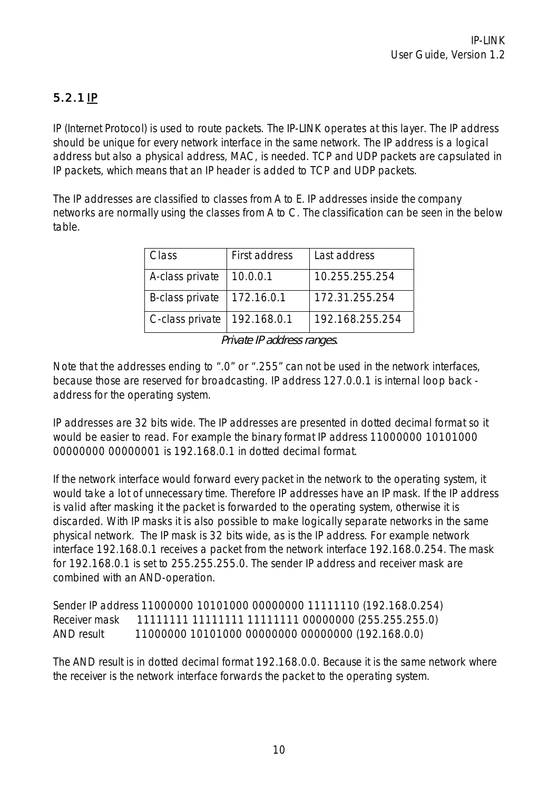## 5.2.1 IP

IP (Internet Protocol) is used to route packets. The IP-LINK operates at this layer. The IP address should be unique for every network interface in the same network. The IP address is a logical address but also a physical address, MAC, is needed. TCP and UDP packets are capsulated in IP packets, which means that an IP header is added to TCP and UDP packets.

The IP addresses are classified to classes from A to E. IP addresses inside the company networks are normally using the classes from A to C. The classification can be seen in the below table.

| Class           | First address | Last address    |
|-----------------|---------------|-----------------|
| A-class private | 10.0.0.1      | 10.255.255.254  |
| B-class private | 172.16.0.1    | 172.31.255.254  |
| C-class private | 192.168.0.1   | 192.168.255.254 |

Private IP address ranges.

Note that the addresses ending to ".0" or ".255" can not be used in the network interfaces, because those are reserved for broadcasting. IP address 127.0.0.1 is internal loop back address for the operating system.

IP addresses are 32 bits wide. The IP addresses are presented in dotted decimal format so it would be easier to read. For example the binary format IP address 11000000 10101000 00000000 00000001 is 192.168.0.1 in dotted decimal format.

If the network interface would forward every packet in the network to the operating system, it would take a lot of unnecessary time. Therefore IP addresses have an IP mask. If the IP address is valid after masking it the packet is forwarded to the operating system, otherwise it is discarded. With IP masks it is also possible to make logically separate networks in the same physical network. The IP mask is 32 bits wide, as is the IP address. For example network interface 192.168.0.1 receives a packet from the network interface 192.168.0.254. The mask for 192.168.0.1 is set to 255.255.255.0. The sender IP address and receiver mask are combined with an AND-operation.

Sender IP address 11000000 10101000 00000000 11111110 (192.168.0.254) Receiver mask 11111111 11111111 11111111 00000000 (255.255.255.0) AND result 11000000 10101000 00000000 00000000 (192.168.0.0)

The AND result is in dotted decimal format 192.168.0.0. Because it is the same network where the receiver is the network interface forwards the packet to the operating system.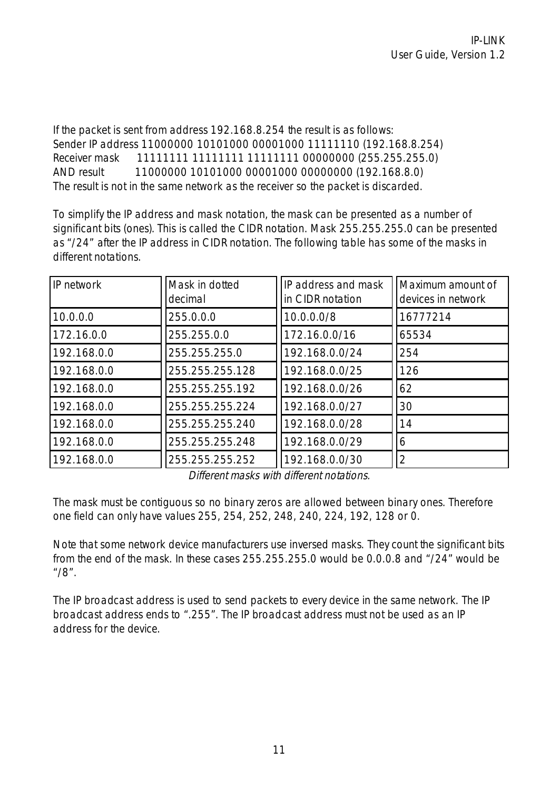If the packet is sent from address 192.168.8.254 the result is as follows: Sender IP address 11000000 10101000 00001000 11111110 (192.168.8.254) Receiver mask 11111111 11111111 11111111 00000000 (255.255.255.0) AND result 11000000 10101000 00001000 00000000 (192.168.8.0) The result is not in the same network as the receiver so the packet is discarded.

To simplify the IP address and mask notation, the mask can be presented as a number of significant bits (ones). This is called the CIDR notation. Mask 255.255.255.0 can be presented as "/24" after the IP address in CIDR notation. The following table has some of the masks in different notations.

| IP network  | Mask in dotted<br>decimal | IP address and mask<br>in CIDR notation | Maximum amount of<br>devices in network |
|-------------|---------------------------|-----------------------------------------|-----------------------------------------|
| 10.0.0.0    | 255.0.0.0                 | 10.0.0.0/8                              | 16777214                                |
| 172.16.0.0  | 255.255.0.0               | 172.16.0.0/16                           | 65534                                   |
| 192.168.0.0 | 255.255.255.0             | 192.168.0.0/24                          | 254                                     |
| 192.168.0.0 | 255.255.255.128           | 192.168.0.0/25                          | 126                                     |
| 192.168.0.0 | 255.255.255.192           | 192.168.0.0/26                          | 62                                      |
| 192.168.0.0 | 255.255.255.224           | 192.168.0.0/27                          | 30                                      |
| 192.168.0.0 | 255.255.255.240           | 192.168.0.0/28                          | 14                                      |
| 192.168.0.0 | 255.255.255.248           | 192.168.0.0/29                          | 6                                       |
| 192.168.0.0 | 255.255.255.252           | 192.168.0.0/30                          | 2                                       |

Different masks with different notations.

The mask must be contiguous so no binary zeros are allowed between binary ones. Therefore one field can only have values 255, 254, 252, 248, 240, 224, 192, 128 or 0.

Note that some network device manufacturers use inversed masks. They count the significant bits from the end of the mask. In these cases 255.255.255.0 would be 0.0.0.8 and "/24" would be "/8".

The IP broadcast address is used to send packets to every device in the same network. The IP broadcast address ends to ".255". The IP broadcast address must not be used as an IP address for the device.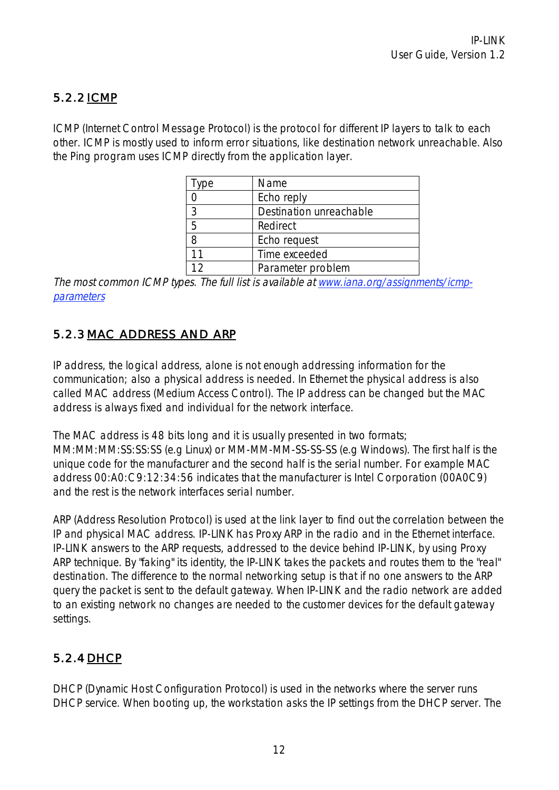### 5.2.2 ICMP

ICMP (Internet Control Message Protocol) is the protocol for different IP layers to talk to each other. ICMP is mostly used to inform error situations, like destination network unreachable. Also the Ping program uses ICMP directly from the application layer.

| vpe | Name                    |
|-----|-------------------------|
|     | Echo reply              |
| 3   | Destination unreachable |
| 5   | Redirect                |
|     | Echo request            |
| 11  | Time exceeded           |
|     | Parameter problem       |

The most common ICMP types. The full list is available at www.iana.org/assignments/icmpparameters

### 5.2.3 MAC ADDRESS AND ARP

IP address, the logical address, alone is not enough addressing information for the communication; also a physical address is needed. In Ethernet the physical address is also called MAC address (Medium Access Control). The IP address can be changed but the MAC address is always fixed and individual for the network interface.

The MAC address is 48 bits long and it is usually presented in two formats; MM:MM:MM:SS:SS:SS (e.g Linux) or MM-MM-MM-SS-SS-SS (e.g Windows). The first half is the unique code for the manufacturer and the second half is the serial number. For example MAC address 00:A0:C9:12:34:56 indicates that the manufacturer is Intel Corporation (00A0C9) and the rest is the network interfaces serial number.

ARP (Address Resolution Protocol) is used at the link layer to find out the correlation between the IP and physical MAC address. IP-LINK has Proxy ARP in the radio and in the Ethernet interface. IP-LINK answers to the ARP requests, addressed to the device behind IP-LINK, by using Proxy ARP technique. By "faking" its identity, the IP-LINK takes the packets and routes them to the "real" destination. The difference to the normal networking setup is that if no one answers to the ARP query the packet is sent to the default gateway. When IP-LINK and the radio network are added to an existing network no changes are needed to the customer devices for the default gateway settings.

## 5.2.4 DHCP

DHCP (Dynamic Host Configuration Protocol) is used in the networks where the server runs DHCP service. When booting up, the workstation asks the IP settings from the DHCP server. The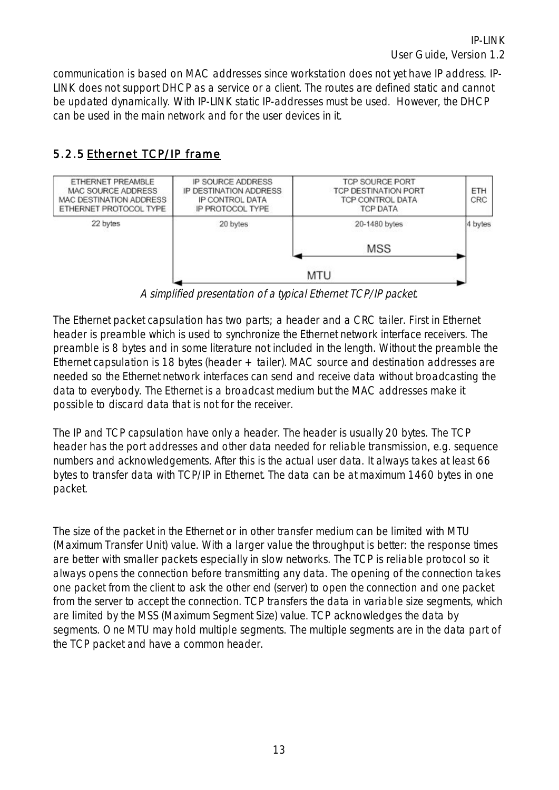communication is based on MAC addresses since workstation does not yet have IP address. IP-LINK does not support DHCP as a service or a client. The routes are defined static and cannot be updated dynamically. With IP-LINK static IP-addresses must be used. However, the DHCP can be used in the main network and for the user devices in it.

### 5.2.5 Ethernet TCP/IP frame



A simplified presentation of a typical Ethernet TCP/IP packet.

The Ethernet packet capsulation has two parts; a header and a CRC tailer. First in Ethernet header is preamble which is used to synchronize the Ethernet network interface receivers. The preamble is 8 bytes and in some literature not included in the length. Without the preamble the Ethernet capsulation is 18 bytes (header + tailer). MAC source and destination addresses are needed so the Ethernet network interfaces can send and receive data without broadcasting the data to everybody. The Ethernet is a broadcast medium but the MAC addresses make it possible to discard data that is not for the receiver.

The IP and TCP capsulation have only a header. The header is usually 20 bytes. The TCP header has the port addresses and other data needed for reliable transmission, e.g. sequence numbers and acknowledgements. After this is the actual user data. It always takes at least 66 bytes to transfer data with TCP/IP in Ethernet. The data can be at maximum 1460 bytes in one packet.

The size of the packet in the Ethernet or in other transfer medium can be limited with MTU (Maximum Transfer Unit) value. With a larger value the throughput is better: the response times are better with smaller packets especially in slow networks. The TCP is reliable protocol so it always opens the connection before transmitting any data. The opening of the connection takes one packet from the client to ask the other end (server) to open the connection and one packet from the server to accept the connection. TCP transfers the data in variable size segments, which are limited by the MSS (Maximum Segment Size) value. TCP acknowledges the data by segments. One MTU may hold multiple segments. The multiple segments are in the data part of the TCP packet and have a common header.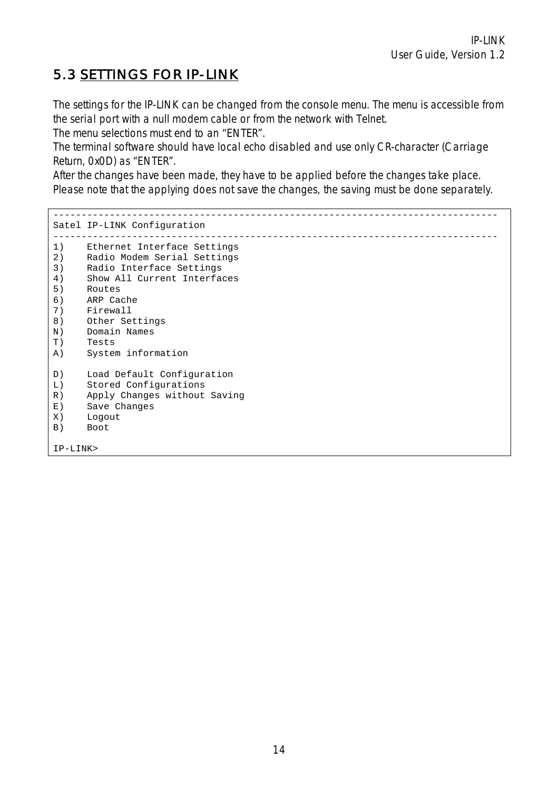## 5.3 SETTINGS FOR IP-LINK

The settings for the IP-LINK can be changed from the console menu. The menu is accessible from the serial port with a null modem cable or from the network with Telnet.

The menu selections must end to an "ENTER".

The terminal software should have local echo disabled and use only CR-character (Carriage Return, 0x0D) as "ENTER".

After the changes have been made, they have to be applied before the changes take place. Please note that the applying does not save the changes, the saving must be done separately.

------------------------------------------------------------------------------- Satel IP-LINK Configuration ------------------------------------------------------------------------------- 1) Ethernet Interface Settings 2) Radio Modem Serial Settings 3) Radio Interface Settings 4) Show All Current Interfaces 5) Routes 6) ARP Cache 7) Firewall 8) Other Settings N) Domain Names T) Tests A) System information D) Load Default Configuration L) Stored Configurations R) Apply Changes without Saving E) Save Changes<br>X) Logout X) Logout<br>B) Boot **Boot** IP-LINK>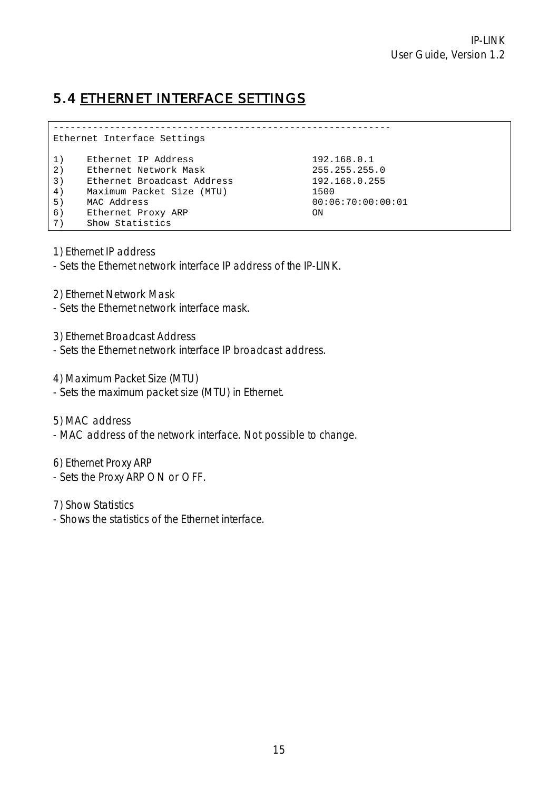## 5.4 ETHERNET INTERFACE SETTINGS

------------------------------------------------------------ Ethernet Interface Settings 1) Ethernet IP Address 192.168.0.1 2) Ethernet Network Mask 255.255.255.0 3) Ethernet Broadcast Address 192.168.0.255 4) Maximum Packet Size (MTU) 1500 5) MAC Address 00:06:70:00:00:01 6) Ethernet Proxy ARP ON 7) Show Statistics

1) Ethernet IP address

- Sets the Ethernet network interface IP address of the IP-LINK.

2) Ethernet Network Mask

- Sets the Ethernet network interface mask.

3) Ethernet Broadcast Address

- Sets the Ethernet network interface IP broadcast address.

4) Maximum Packet Size (MTU)

- Sets the maximum packet size (MTU) in Ethernet.

5) MAC address

- MAC address of the network interface. Not possible to change.

6) Ethernet Proxy ARP

- Sets the Proxy ARP ON or OFF.

7) Show Statistics

- Shows the statistics of the Ethernet interface.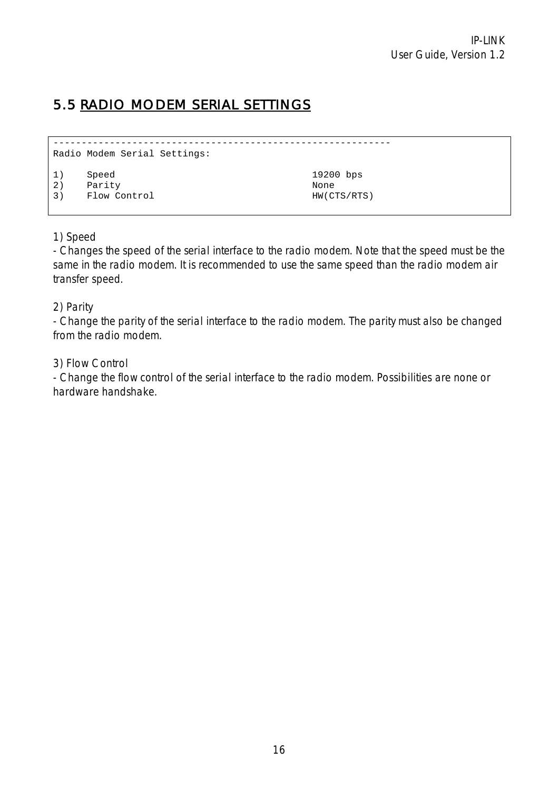# 5.5 RADIO MODEM SERIAL SETTINGS

```
------------------------------------------------------------ 
Radio Modem Serial Settings: 
1) Speed 19200 bps 
2) Parity None 
3) Flow Control HW(CTS/RTS)
```
#### 1) Speed

- Changes the speed of the serial interface to the radio modem. Note that the speed must be the same in the radio modem. It is recommended to use the same speed than the radio modem air transfer speed.

#### 2) Parity

- Change the parity of the serial interface to the radio modem. The parity must also be changed from the radio modem.

#### 3) Flow Control

- Change the flow control of the serial interface to the radio modem. Possibilities are none or hardware handshake.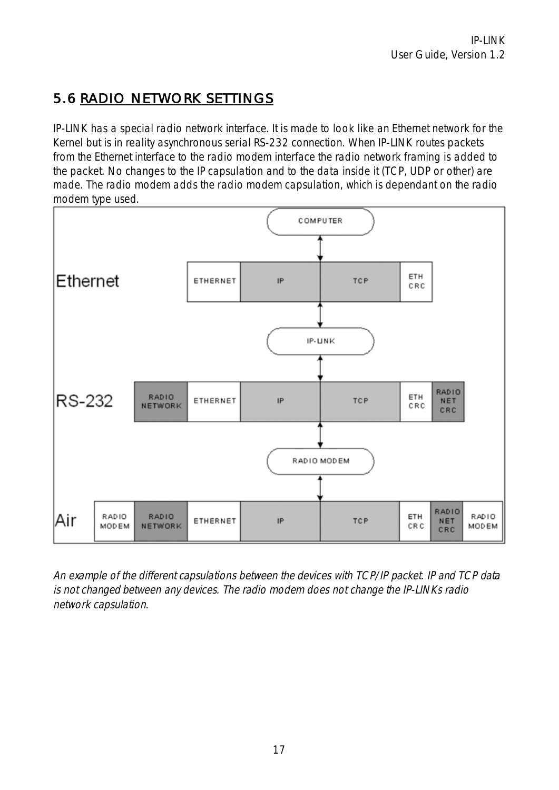# 5.6 RADIO NETWORK SETTINGS

IP-LINK has a special radio network interface. It is made to look like an Ethernet network for the Kernel but is in reality asynchronous serial RS-232 connection. When IP-LINK routes packets from the Ethernet interface to the radio modem interface the radio network framing is added to the packet. No changes to the IP capsulation and to the data inside it (TCP, UDP or other) are made. The radio modem adds the radio modem capsulation, which is dependant on the radio modem type used.



An example of the different capsulations between the devices with TCP/IP packet. IP and TCP data is not changed between any devices. The radio modem does not change the IP-LINKs radio network capsulation*.*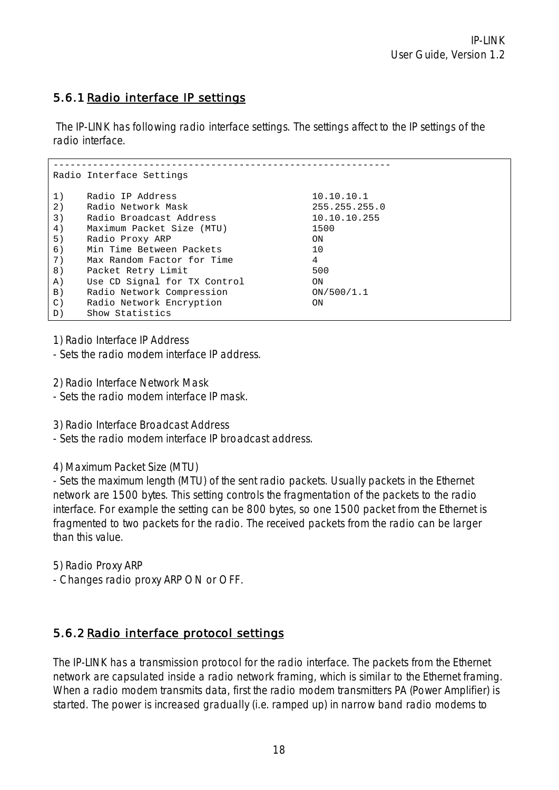### 5.6.1 Radio interface IP settings

The IP-LINK has following radio interface settings. The settings affect to the IP settings of the radio interface.

|                   | Radio Interface Settings     |               |
|-------------------|------------------------------|---------------|
|                   |                              |               |
| 1)                | Radio IP Address             | 10.10.10.1    |
| 2)                | Radio Network Mask           | 255.255.255.0 |
| 3)                | Radio Broadcast Address      | 10.10.10.255  |
| 4)                | Maximum Packet Size (MTU)    | 1500          |
| 5)                | Radio Proxy ARP              | ON            |
| 6)                | Min Time Between Packets     | 10            |
| 7)                | Max Random Factor for Time   | 4             |
| 8)                | Packet Retry Limit           | 500           |
| A)                | Use CD Signal for TX Control | ON            |
| $\vert B \rangle$ | Radio Network Compression    | ON/500/1.1    |
| $\mathcal{C}$ )   | Radio Network Encryption     | ON            |
| D)                | Show Statistics              |               |

1) Radio Interface IP Address

- Sets the radio modem interface IP address.

2) Radio Interface Network Mask

- Sets the radio modem interface IP mask.

3) Radio Interface Broadcast Address

- Sets the radio modem interface IP broadcast address.

4) Maximum Packet Size (MTU)

- Sets the maximum length (MTU) of the sent radio packets. Usually packets in the Ethernet network are 1500 bytes. This setting controls the fragmentation of the packets to the radio interface. For example the setting can be 800 bytes, so one 1500 packet from the Ethernet is fragmented to two packets for the radio. The received packets from the radio can be larger than this value.

5) Radio Proxy ARP

- Changes radio proxy ARP ON or OFF.

### 5.6.2 Radio interface protocol settings

The IP-LINK has a transmission protocol for the radio interface. The packets from the Ethernet network are capsulated inside a radio network framing, which is similar to the Ethernet framing. When a radio modem transmits data, first the radio modem transmitters PA (Power Amplifier) is started. The power is increased gradually (i.e. ramped up) in narrow band radio modems to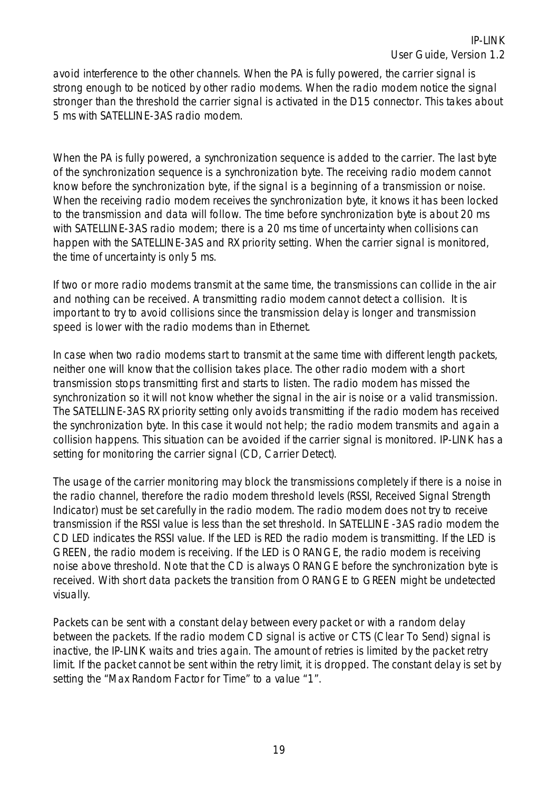avoid interference to the other channels. When the PA is fully powered, the carrier signal is strong enough to be noticed by other radio modems. When the radio modem notice the signal stronger than the threshold the carrier signal is activated in the D15 connector. This takes about 5 ms with SATELLINE-3AS radio modem.

When the PA is fully powered, a synchronization sequence is added to the carrier. The last byte of the synchronization sequence is a synchronization byte. The receiving radio modem cannot know before the synchronization byte, if the signal is a beginning of a transmission or noise. When the receiving radio modem receives the synchronization byte, it knows it has been locked to the transmission and data will follow. The time before synchronization byte is about 20 ms with SATELLINE-3AS radio modem; there is a 20 ms time of uncertainty when collisions can happen with the SATELLINE-3AS and RX priority setting. When the carrier signal is monitored, the time of uncertainty is only 5 ms.

If two or more radio modems transmit at the same time, the transmissions can collide in the air and nothing can be received. A transmitting radio modem cannot detect a collision. It is important to try to avoid collisions since the transmission delay is longer and transmission speed is lower with the radio modems than in Ethernet.

In case when two radio modems start to transmit at the same time with different length packets, neither one will know that the collision takes place. The other radio modem with a short transmission stops transmitting first and starts to listen. The radio modem has missed the synchronization so it will not know whether the signal in the air is noise or a valid transmission. The SATELLINE-3AS RX priority setting only avoids transmitting if the radio modem has received the synchronization byte. In this case it would not help; the radio modem transmits and again a collision happens. This situation can be avoided if the carrier signal is monitored. IP-LINK has a setting for monitoring the carrier signal (CD, Carrier Detect).

The usage of the carrier monitoring may block the transmissions completely if there is a noise in the radio channel, therefore the radio modem threshold levels (RSSI, Received Signal Strength Indicator) must be set carefully in the radio modem. The radio modem does not try to receive transmission if the RSSI value is less than the set threshold. In SATELLINE -3AS radio modem the CD LED indicates the RSSI value. If the LED is RED the radio modem is transmitting. If the LED is GREEN, the radio modem is receiving. If the LED is ORANGE, the radio modem is receiving noise above threshold. Note that the CD is always ORANGE before the synchronization byte is received. With short data packets the transition from ORANGE to GREEN might be undetected visually.

Packets can be sent with a constant delay between every packet or with a random delay between the packets. If the radio modem CD signal is active or CTS (Clear To Send) signal is inactive, the IP-LINK waits and tries again. The amount of retries is limited by the packet retry limit. If the packet cannot be sent within the retry limit, it is dropped. The constant delay is set by setting the "Max Random Factor for Time" to a value "1".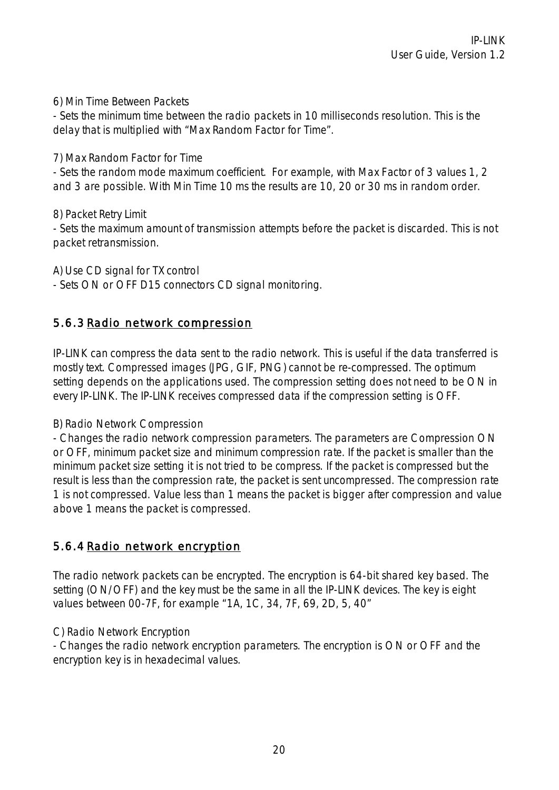6) Min Time Between Packets

- Sets the minimum time between the radio packets in 10 milliseconds resolution. This is the delay that is multiplied with "Max Random Factor for Time".

7) Max Random Factor for Time

- Sets the random mode maximum coefficient. For example, with Max Factor of 3 values 1, 2 and 3 are possible. With Min Time 10 ms the results are 10, 20 or 30 ms in random order.

8) Packet Retry Limit

- Sets the maximum amount of transmission attempts before the packet is discarded. This is not packet retransmission.

A) Use CD signal for TX control

- Sets ON or OFF D15 connectors CD signal monitoring.

#### 5.6.3 Radio network compression

IP-LINK can compress the data sent to the radio network. This is useful if the data transferred is mostly text. Compressed images (JPG, GIF, PNG) cannot be re-compressed. The optimum setting depends on the applications used. The compression setting does not need to be ON in every IP-LINK. The IP-LINK receives compressed data if the compression setting is OFF.

B) Radio Network Compression

- Changes the radio network compression parameters. The parameters are Compression ON or OFF, minimum packet size and minimum compression rate. If the packet is smaller than the minimum packet size setting it is not tried to be compress. If the packet is compressed but the result is less than the compression rate, the packet is sent uncompressed. The compression rate 1 is not compressed. Value less than 1 means the packet is bigger after compression and value above 1 means the packet is compressed.

#### 5.6.4 Radio network encryption

The radio network packets can be encrypted. The encryption is 64-bit shared key based. The setting (ON/OFF) and the key must be the same in all the IP-LINK devices. The key is eight values between 00-7F, for example "1A, 1C, 34, 7F, 69, 2D, 5, 40"

#### C) Radio Network Encryption

- Changes the radio network encryption parameters. The encryption is ON or OFF and the encryption key is in hexadecimal values.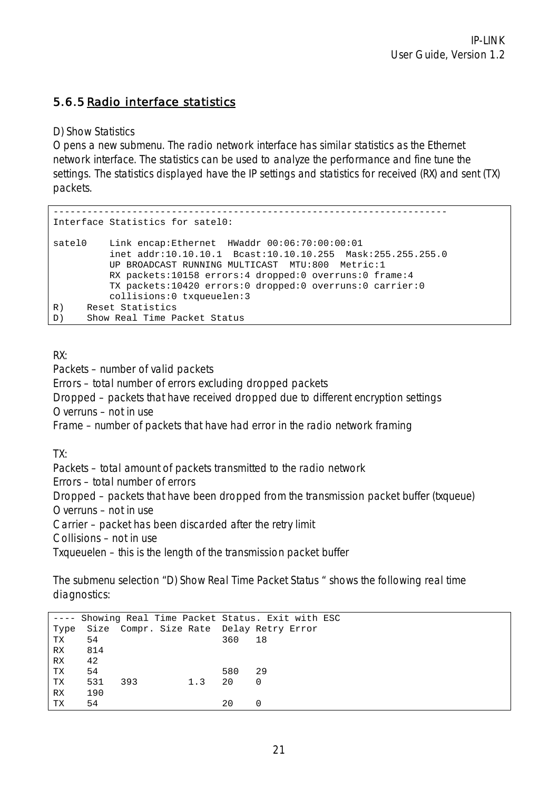### 5.6.5 Radio interface statistics

D) Show Statistics

Opens a new submenu. The radio network interface has similar statistics as the Ethernet network interface. The statistics can be used to analyze the performance and fine tune the settings. The statistics displayed have the IP settings and statistics for received (RX) and sent (TX) packets.

```
---------------------------------------------------------------------- 
Interface Statistics for satel0: 
satel0 Link encap:Ethernet HWaddr 00:06:70:00:00:01 
          inet addr:10.10.10.1 Bcast:10.10.10.255 Mask:255.255.255.0 
          UP BROADCAST RUNNING MULTICAST MTU:800 Metric:1 
          RX packets:10158 errors:4 dropped:0 overruns:0 frame:4 
          TX packets:10420 errors:0 dropped:0 overruns:0 carrier:0 
          collisions:0 txqueuelen:3 
R) Reset Statistics 
D) Show Real Time Packet Status
```
RX:

Packets – number of valid packets

Errors – total number of errors excluding dropped packets

Dropped – packets that have received dropped due to different encryption settings

Overruns – not in use

Frame – number of packets that have had error in the radio network framing

TX:

Packets – total amount of packets transmitted to the radio network

Errors – total number of errors

Dropped – packets that have been dropped from the transmission packet buffer (txqueue)

Overruns – not in use

Carrier – packet has been discarded after the retry limit

Collisions – not in use

Txqueuelen – this is the length of the transmission packet buffer

The submenu selection "D) Show Real Time Packet Status " shows the following real time diagnostics:

|           |     |     | ---- Showing Real Time Packet Status. Exit with ESC |     |          |  |  |  |
|-----------|-----|-----|-----------------------------------------------------|-----|----------|--|--|--|
| Type      |     |     | Size Compr. Size Rate Delay Retry Error             |     |          |  |  |  |
| TX        | 54  |     |                                                     | 360 | 18       |  |  |  |
| RX.       | 814 |     |                                                     |     |          |  |  |  |
| RX        | 42  |     |                                                     |     |          |  |  |  |
| TX        | 54  |     |                                                     | 580 | 29       |  |  |  |
| TX        | 531 | 393 | 1.3                                                 | 20  | $\Omega$ |  |  |  |
| <b>RX</b> | 190 |     |                                                     |     |          |  |  |  |
| ТX        | 54  |     |                                                     | 2.0 |          |  |  |  |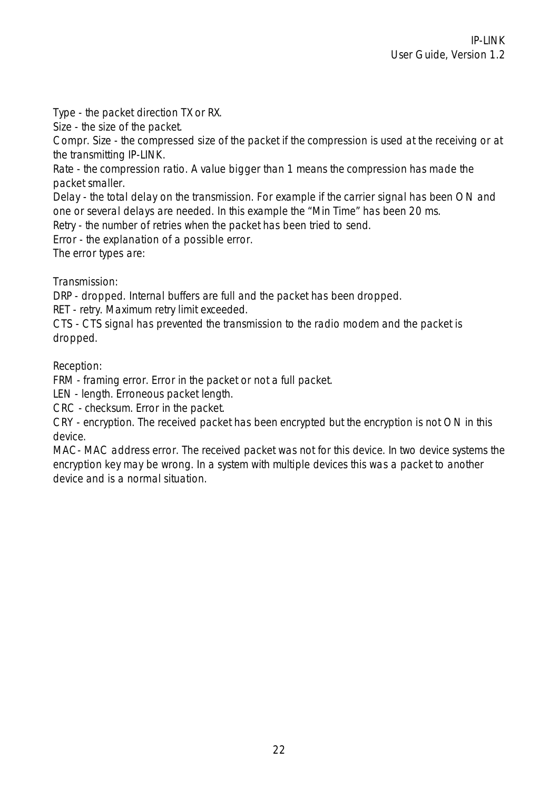Type - the packet direction TX or RX.

Size - the size of the packet.

Compr. Size - the compressed size of the packet if the compression is used at the receiving or at the transmitting IP-LINK.

Rate - the compression ratio. A value bigger than 1 means the compression has made the packet smaller.

Delay - the total delay on the transmission. For example if the carrier signal has been ON and one or several delays are needed. In this example the "Min Time" has been 20 ms.

Retry - the number of retries when the packet has been tried to send.

Error - the explanation of a possible error.

The error types are:

Transmission:

DRP - dropped. Internal buffers are full and the packet has been dropped.

RET - retry. Maximum retry limit exceeded.

CTS - CTS signal has prevented the transmission to the radio modem and the packet is dropped.

Reception:

FRM - framing error. Error in the packet or not a full packet.

LEN - length. Erroneous packet length.

CRC - checksum. Error in the packet.

CRY - encryption. The received packet has been encrypted but the encryption is not ON in this device.

MAC- MAC address error. The received packet was not for this device. In two device systems the encryption key may be wrong. In a system with multiple devices this was a packet to another device and is a normal situation.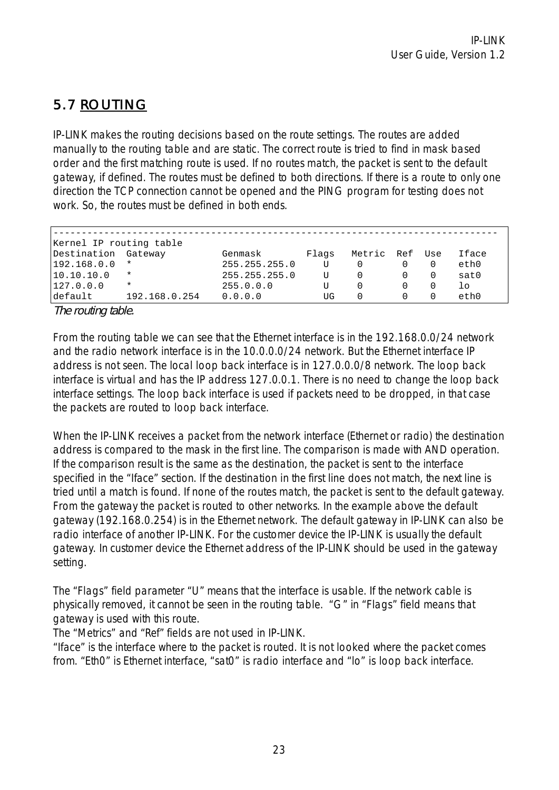# 5.7 ROUTING

IP-LINK makes the routing decisions based on the route settings. The routes are added manually to the routing table and are static. The correct route is tried to find in mask based order and the first matching route is used. If no routes match, the packet is sent to the default gateway, if defined. The routes must be defined to both directions. If there is a route to only one direction the TCP connection cannot be opened and the PING program for testing does not work. So, the routes must be defined in both ends.

|             | Kernel IP routing table |               |       |        |         |          |                  |
|-------------|-------------------------|---------------|-------|--------|---------|----------|------------------|
| Destination | Gateway                 | Genmask       | Flags | Metric | Ref Use |          | Iface            |
| 192.168.0.0 | $\star$                 | 255.255.255.0 |       |        |         |          | eth0             |
| 10.10.10.0  | $\star$                 | 255.255.255.0 |       |        |         | $\Omega$ | sat <sub>0</sub> |
| 127.0.0.0   | $\star$                 | 255.0.0.0     |       |        |         |          | lo               |
| default     | 192.168.0.254           | 0.0.0.0       | UG    |        |         |          | eth0             |

The routing table.

From the routing table we can see that the Ethernet interface is in the 192.168.0.0/24 network and the radio network interface is in the 10.0.0.0/24 network. But the Ethernet interface IP address is not seen. The local loop back interface is in 127.0.0.0/8 network. The loop back interface is virtual and has the IP address 127.0.0.1. There is no need to change the loop back interface settings. The loop back interface is used if packets need to be dropped, in that case the packets are routed to loop back interface.

When the IP-LINK receives a packet from the network interface (Ethernet or radio) the destination address is compared to the mask in the first line. The comparison is made with AND operation. If the comparison result is the same as the destination, the packet is sent to the interface specified in the "Iface" section. If the destination in the first line does not match, the next line is tried until a match is found. If none of the routes match, the packet is sent to the default gateway. From the gateway the packet is routed to other networks. In the example above the default gateway (192.168.0.254) is in the Ethernet network. The default gateway in IP-LINK can also be radio interface of another IP-LINK. For the customer device the IP-LINK is usually the default gateway. In customer device the Ethernet address of the IP-LINK should be used in the gateway setting.

The "Flags" field parameter "U" means that the interface is usable. If the network cable is physically removed, it cannot be seen in the routing table. "G" in "Flags" field means that gateway is used with this route.

The "Metrics" and "Ref" fields are not used in IP-LINK.

"Iface" is the interface where to the packet is routed. It is not looked where the packet comes from. "Eth0" is Ethernet interface, "sat0" is radio interface and "lo" is loop back interface.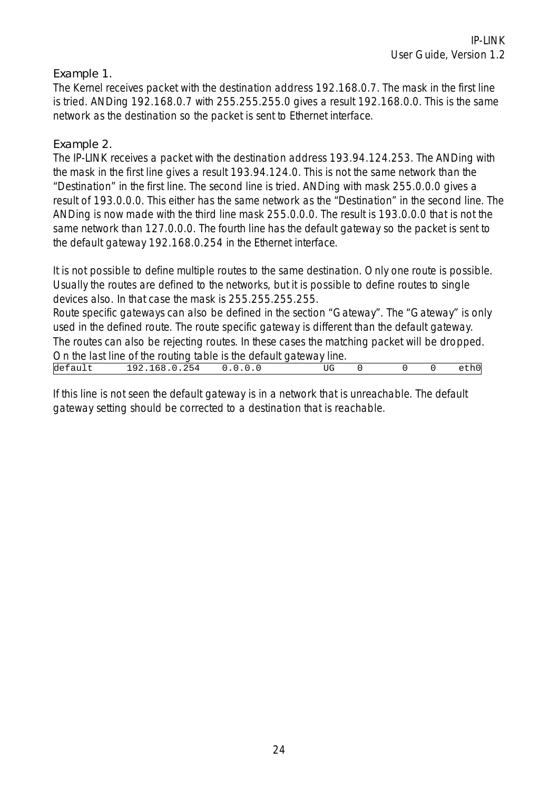#### Example 1.

The Kernel receives packet with the destination address 192.168.0.7. The mask in the first line is tried. ANDing 192.168.0.7 with 255.255.255.0 gives a result 192.168.0.0. This is the same network as the destination so the packet is sent to Ethernet interface.

#### Example 2.

The IP-LINK receives a packet with the destination address 193.94.124.253. The ANDing with the mask in the first line gives a result 193.94.124.0. This is not the same network than the "Destination" in the first line. The second line is tried. ANDing with mask 255.0.0.0 gives a result of 193.0.0.0. This either has the same network as the "Destination" in the second line. The ANDing is now made with the third line mask 255.0.0.0. The result is 193.0.0.0 that is not the same network than 127.0.0.0. The fourth line has the default gateway so the packet is sent to the default gateway 192.168.0.254 in the Ethernet interface.

It is not possible to define multiple routes to the same destination. Only one route is possible. Usually the routes are defined to the networks, but it is possible to define routes to single devices also. In that case the mask is 255.255.255.255.

Route specific gateways can also be defined in the section "Gateway". The "Gateway" is only used in the defined route. The route specific gateway is different than the default gateway. The routes can also be rejecting routes. In these cases the matching packet will be dropped. On the last line of the routing table is the default gateway line. default 192.168.0.254 0.0.0.0 UG 0 0 0 eth0

If this line is not seen the default gateway is in a network that is unreachable. The default gateway setting should be corrected to a destination that is reachable.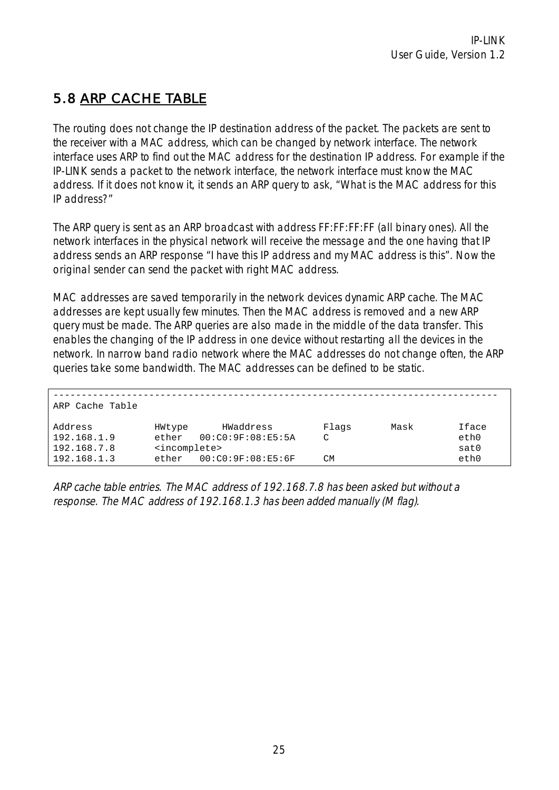## 5.8 ARP CACHE TABLE

The routing does not change the IP destination address of the packet. The packets are sent to the receiver with a MAC address, which can be changed by network interface. The network interface uses ARP to find out the MAC address for the destination IP address. For example if the IP-LINK sends a packet to the network interface, the network interface must know the MAC address. If it does not know it, it sends an ARP query to ask, "What is the MAC address for this IP address?"

The ARP query is sent as an ARP broadcast with address FF:FF:FF:FF (all binary ones). All the network interfaces in the physical network will receive the message and the one having that IP address sends an ARP response "I have this IP address and my MAC address is this". Now the original sender can send the packet with right MAC address.

MAC addresses are saved temporarily in the network devices dynamic ARP cache. The MAC addresses are kept usually few minutes. Then the MAC address is removed and a new ARP query must be made. The ARP queries are also made in the middle of the data transfer. This enables the changing of the IP address in one device without restarting all the devices in the network. In narrow band radio network where the MAC addresses do not change often, the ARP queries take some bandwidth. The MAC addresses can be defined to be static.

| ARP Cache Table                       |                                              |                                |                 |      |                       |
|---------------------------------------|----------------------------------------------|--------------------------------|-----------------|------|-----------------------|
| Address<br>192.168.1.9<br>192.168.7.8 | HWtype<br>ether<br><incomplete></incomplete> | HWaddress<br>00:C0:9F:08:E5:5A | Flags<br>$\sim$ | Mask | Iface<br>eth0<br>sat0 |
| 192.168.1.3                           | ether                                        | 00:CO:9F:08:E5:6F              | CМ              |      | eth0                  |

ARP cache table entries. The MAC address of 192.168.7.8 has been asked but without a response. The MAC address of 192.168.1.3 has been added manually (M flag).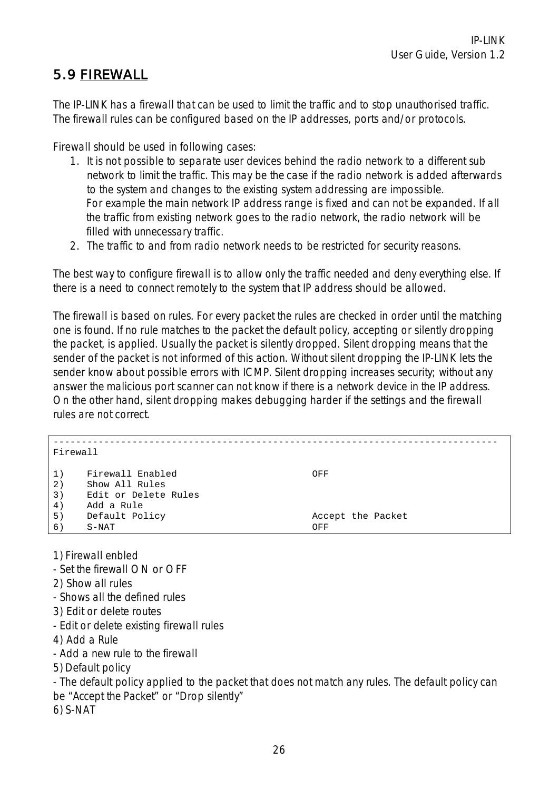## 5.9 FIREWALL

The IP-LINK has a firewall that can be used to limit the traffic and to stop unauthorised traffic. The firewall rules can be configured based on the IP addresses, ports and/or protocols.

Firewall should be used in following cases:

- 1. It is not possible to separate user devices behind the radio network to a different sub network to limit the traffic. This may be the case if the radio network is added afterwards to the system and changes to the existing system addressing are impossible. For example the main network IP address range is fixed and can not be expanded. If all the traffic from existing network goes to the radio network, the radio network will be filled with unnecessary traffic.
- 2. The traffic to and from radio network needs to be restricted for security reasons.

The best way to configure firewall is to allow only the traffic needed and deny everything else. If there is a need to connect remotely to the system that IP address should be allowed.

The firewall is based on rules. For every packet the rules are checked in order until the matching one is found. If no rule matches to the packet the default policy, accepting or silently dropping the packet, is applied. Usually the packet is silently dropped. Silent dropping means that the sender of the packet is not informed of this action. Without silent dropping the IP-LINK lets the sender know about possible errors with ICMP. Silent dropping increases security; without any answer the malicious port scanner can not know if there is a network device in the IP address. On the other hand, silent dropping makes debugging harder if the settings and the firewall rules are not correct.

| Firewall             |                                                                          |                          |
|----------------------|--------------------------------------------------------------------------|--------------------------|
| 1)<br>2)<br>3)<br>4) | Firewall Enabled<br>Show All Rules<br>Edit or Delete Rules<br>Add a Rule | OFF                      |
| 5)<br>6)             | Default Policy<br>S-NAT                                                  | Accept the Packet<br>OFF |

1) Firewall enbled

- Set the firewall ON or OFF

2) Show all rules

- Shows all the defined rules

3) Edit or delete routes

- Edit or delete existing firewall rules

4) Add a Rule

- Add a new rule to the firewall

5) Default policy

- The default policy applied to the packet that does not match any rules. The default policy can be "Accept the Packet" or "Drop silently"

6) S-NAT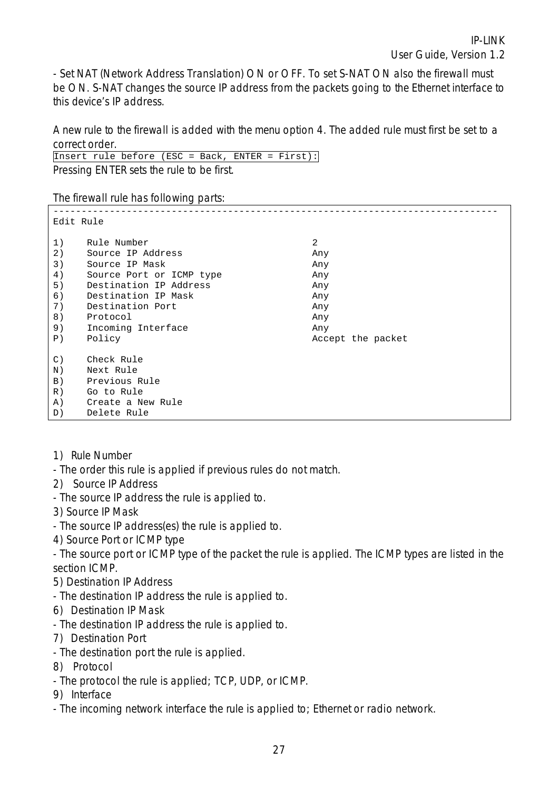- Set NAT (Network Address Translation) ON or OFF. To set S-NAT ON also the firewall must be ON. S-NAT changes the source IP address from the packets going to the Ethernet interface to this device's IP address.

A new rule to the firewall is added with the menu option 4. The added rule must first be set to a correct order.

Insert rule before (ESC = Back, ENTER = First): Pressing ENTER sets the rule to be first.

The firewall rule has following parts:

| Edit Rule         |                          |                   |  |  |  |  |
|-------------------|--------------------------|-------------------|--|--|--|--|
| 1)                | Rule Number              | 2                 |  |  |  |  |
| 2)                | Source IP Address        | Any               |  |  |  |  |
| 3)                | Source IP Mask           | Any               |  |  |  |  |
| 4)                | Source Port or ICMP type | Any               |  |  |  |  |
| 5)                | Destination IP Address   | Any               |  |  |  |  |
| 6)                | Destination IP Mask      | Any               |  |  |  |  |
| 7)                | Destination Port         | Any               |  |  |  |  |
| 8)                | Protocol                 | Any               |  |  |  |  |
| 9)                | Incoming Interface       | Any               |  |  |  |  |
| P)                | Policy                   | Accept the packet |  |  |  |  |
| $\mathcal{C}$ )   | Check Rule               |                   |  |  |  |  |
| N)                | Next Rule                |                   |  |  |  |  |
| $\vert B \rangle$ | Previous Rule            |                   |  |  |  |  |
| R)                | Go to Rule               |                   |  |  |  |  |
| A)                | Create a New Rule        |                   |  |  |  |  |
| D)                | Delete Rule              |                   |  |  |  |  |

- 1) Rule Number
- The order this rule is applied if previous rules do not match.
- 2) Source IP Address
- The source IP address the rule is applied to.
- 3) Source IP Mask
- The source IP address(es) the rule is applied to.
- 4) Source Port or ICMP type

- The source port or ICMP type of the packet the rule is applied. The ICMP types are listed in the section ICMP.

- 5) Destination IP Address
- The destination IP address the rule is applied to.
- 6) Destination IP Mask
- The destination IP address the rule is applied to.
- 7) Destination Port
- The destination port the rule is applied.
- 8) Protocol
- The protocol the rule is applied; TCP, UDP, or ICMP.
- 9) Interface
- The incoming network interface the rule is applied to; Ethernet or radio network.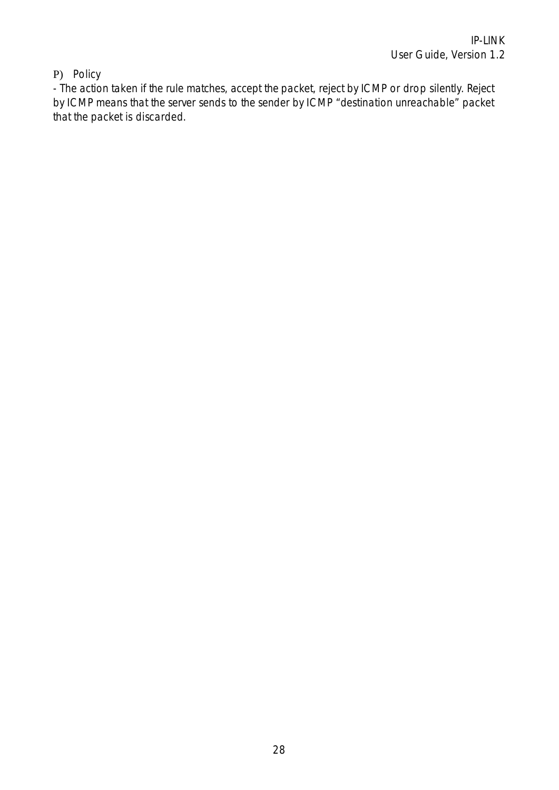### P) Policy

- The action taken if the rule matches, accept the packet, reject by ICMP or drop silently. Reject by ICMP means that the server sends to the sender by ICMP "destination unreachable" packet that the packet is discarded.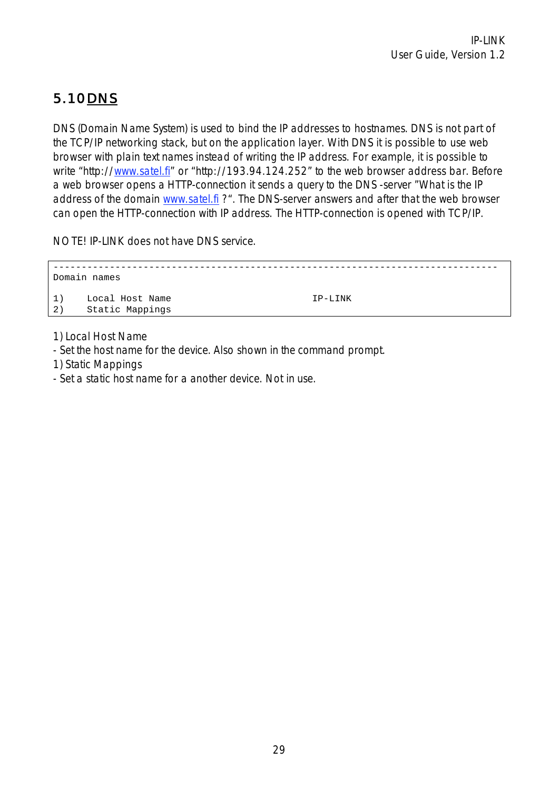# 5.10 DNS

DNS (Domain Name System) is used to bind the IP addresses to hostnames. DNS is not part of the TCP/IP networking stack, but on the application layer. With DNS it is possible to use web browser with plain text names instead of writing the IP address. For example, it is possible to write "http://www.satel.fi" or "http://193.94.124.252" to the web browser address bar. Before a web browser opens a HTTP-connection it sends a query to the DNS -server "What is the IP address of the domain www.satel.fi ?". The DNS-server answers and after that the web browser can open the HTTP-connection with IP address. The HTTP-connection is opened with TCP/IP.

NOTE! IP-LINK does not have DNS service.

------------------------------------------------------------------------------- Domain names 1) Local Host Name IP-LINK 2) Static Mappings

1) Local Host Name

- Set the host name for the device. Also shown in the command prompt.

1) Static Mappings

- Set a static host name for a another device. Not in use.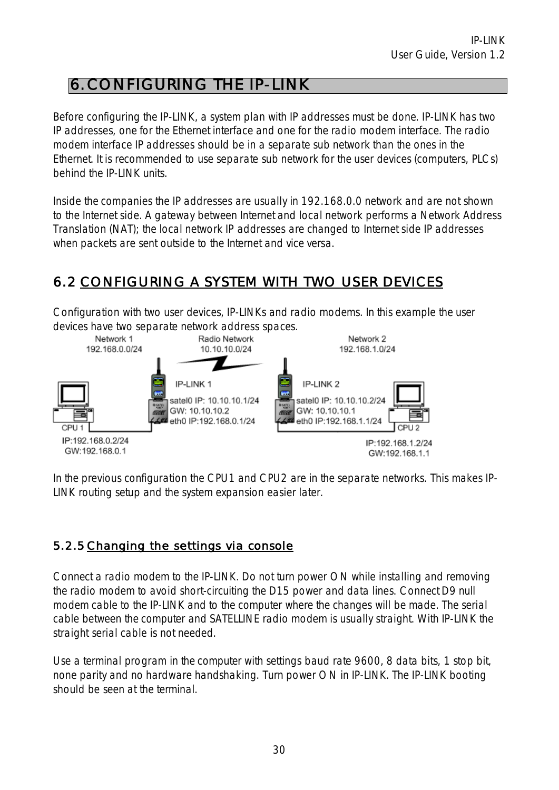# 6. CONFIGURING THE IP-LINK

Before configuring the IP-LINK, a system plan with IP addresses must be done. IP-LINK has two IP addresses, one for the Ethernet interface and one for the radio modem interface. The radio modem interface IP addresses should be in a separate sub network than the ones in the Ethernet. It is recommended to use separate sub network for the user devices (computers, PLCs) behind the IP-LINK units.

Inside the companies the IP addresses are usually in 192.168.0.0 network and are not shown to the Internet side. A gateway between Internet and local network performs a Network Address Translation (NAT); the local network IP addresses are changed to Internet side IP addresses when packets are sent outside to the Internet and vice versa.

## 6.2 CONFIGURING A SYSTEM WITH TWO USER DEVICES

Configuration with two user devices, IP-LINKs and radio modems. In this example the user devices have two separate network address spaces.



In the previous configuration the CPU1 and CPU2 are in the separate networks. This makes IP-LINK routing setup and the system expansion easier later.

### 5.2.5 Changing the settings via console

Connect a radio modem to the IP-LINK. Do not turn power ON while installing and removing the radio modem to avoid short-circuiting the D15 power and data lines. Connect D9 null modem cable to the IP-LINK and to the computer where the changes will be made. The serial cable between the computer and SATELLINE radio modem is usually straight. With IP-LINK the straight serial cable is not needed.

Use a terminal program in the computer with settings baud rate 9600, 8 data bits, 1 stop bit, none parity and no hardware handshaking. Turn power ON in IP-LINK. The IP-LINK booting should be seen at the terminal.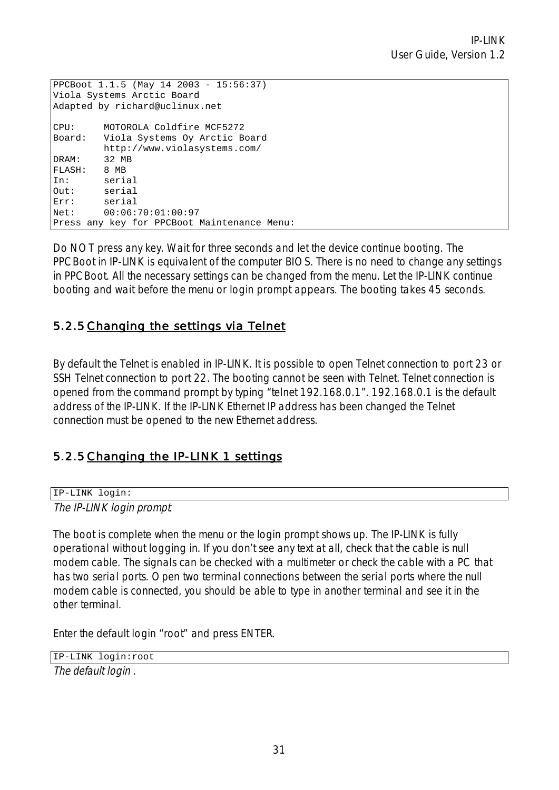```
PPCBoot 1.1.5 (May 14 2003 - 15:56:37) 
Viola Systems Arctic Board 
Adapted by richard@uclinux.net 
CPU: MOTOROLA Coldfire MCF5272 
Board: Viola Systems Oy Arctic Board 
        http://www.violasystems.com/ 
DRAM: 32 MB 
FLASH: 8 MB 
In: serial 
Out: serial 
Err: serial 
Net: 00:06:70:01:00:97 
Press any key for PPCBoot Maintenance Menu:
```
Do NOT press any key. Wait for three seconds and let the device continue booting. The PPCBoot in IP-LINK is equivalent of the computer BIOS. There is no need to change any settings in PPCBoot. All the necessary settings can be changed from the menu. Let the IP-LINK continue booting and wait before the menu or login prompt appears. The booting takes 45 seconds.

### 5.2.5 Changing the settings via Telnet

By default the Telnet is enabled in IP-LINK. It is possible to open Telnet connection to port 23 or SSH Telnet connection to port 22. The booting cannot be seen with Telnet. Telnet connection is opened from the command prompt by typing "telnet 192.168.0.1". 192.168.0.1 is the default address of the IP-LINK. If the IP-LINK Ethernet IP address has been changed the Telnet connection must be opened to the new Ethernet address.

### 5.2.5 Changing the IP-LINK 1 settings

IP-LINK login: The IP-LINK login prompt*.*

The boot is complete when the menu or the login prompt shows up. The IP-LINK is fully operational without logging in. If you don't see any text at all, check that the cable is null modem cable. The signals can be checked with a multimeter or check the cable with a PC that has two serial ports. Open two terminal connections between the serial ports where the null modem cable is connected, you should be able to type in another terminal and see it in the other terminal.

Enter the default login "root" and press ENTER.

IP-LINK login:root

The default login .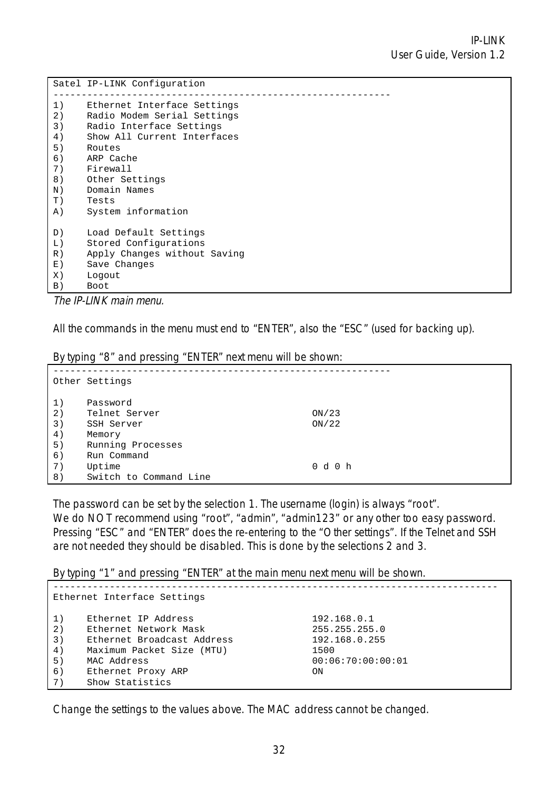|                   | Satel IP-LINK Configuration  |
|-------------------|------------------------------|
| 1)                | Ethernet Interface Settings  |
| 2)                | Radio Modem Serial Settings  |
| 3)                | Radio Interface Settings     |
| 4)                | Show All Current Interfaces  |
| 5)                | Routes                       |
| 6)                | ARP Cache                    |
| 7)                | Firewall                     |
| 8)                | Other Settings               |
| $N$ )             | Domain Names                 |
| T)                | Tests                        |
| A)                | System information           |
| D)                | Load Default Settings        |
| L)                | Stored Configurations        |
| R)                | Apply Changes without Saving |
| $E$ )             | Save Changes                 |
| X)                | Logout                       |
| $\vert B \rangle$ | Boot                         |

The IP-LINK main menu.

All the commands in the menu must end to "ENTER", also the "ESC" (used for backing up).

By typing "8" and pressing "ENTER" next menu will be shown:

| .  | $\overline{\phantom{a}}$<br>ີ |       |
|----|-------------------------------|-------|
|    | Other Settings                |       |
| 1) | Password                      |       |
| 2) | Telnet Server                 | ON/23 |
| 3) | SSH Server                    | ON/22 |
| 4) | Memory                        |       |
| 5) | Running Processes             |       |
| 6) | Run Command                   |       |
| 7) | Uptime                        | 0d0h  |
| 8) | Switch to Command Line        |       |

The password can be set by the selection 1. The username (login) is always "root". We do NOT recommend using "root", "admin", "admin123" or any other too easy password. Pressing "ESC" and "ENTER" does the re-entering to the "Other settings". If the Telnet and SSH are not needed they should be disabled. This is done by the selections 2 and 3.

By typing "1" and pressing "ENTER" at the main menu next menu will be shown.

| Ethernet Interface Settings            |                                                                                                                                                                 |                                                                                  |  |  |
|----------------------------------------|-----------------------------------------------------------------------------------------------------------------------------------------------------------------|----------------------------------------------------------------------------------|--|--|
| 1)<br>2)<br>3)<br>4)<br>5)<br>6)<br>7) | Ethernet IP Address<br>Ethernet Network Mask<br>Ethernet Broadcast Address<br>Maximum Packet Size (MTU)<br>MAC Address<br>Ethernet Proxy ARP<br>Show Statistics | 192.168.0.1<br>255.255.255.0<br>192.168.0.255<br>1500<br>00:06:70:00:00:01<br>ΟN |  |  |

Change the settings to the values above. The MAC address cannot be changed.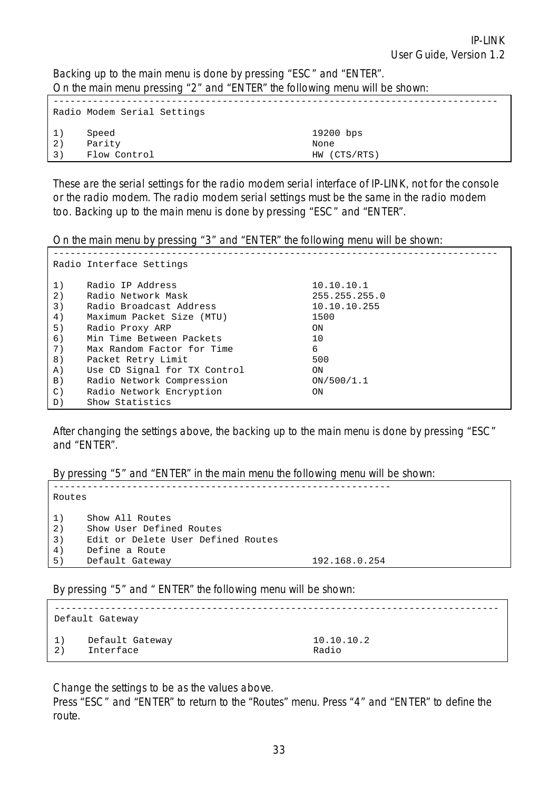Backing up to the main menu is done by pressing "ESC" and "ENTER". On the main menu pressing "2" and "ENTER" the following menu will be shown:

|    | Radio Modem Serial Settings |              |
|----|-----------------------------|--------------|
| 1) | Speed                       | 19200 bps    |
| 2) | Parity                      | None         |
| 3) | Flow Control                | HW (CTS/RTS) |

These are the serial settings for the radio modem serial interface of IP-LINK, not for the console or the radio modem. The radio modem serial settings must be the same in the radio modem too. Backing up to the main menu is done by pressing "ESC" and "ENTER".

On the main menu by pressing "3" and "ENTER" the following menu will be shown:

|                   | Radio Interface Settings     |               |
|-------------------|------------------------------|---------------|
| 1)                | Radio IP Address             | 10.10.10.1    |
| 2)                | Radio Network Mask           | 255.255.255.0 |
| 3)                | Radio Broadcast Address      | 10.10.10.255  |
| 4)                | Maximum Packet Size (MTU)    | 1500          |
| 5)                | Radio Proxy ARP              | ON            |
| 6)                | Min Time Between Packets     | 10            |
| 7)                | Max Random Factor for Time   | 6             |
| 8)                | Packet Retry Limit           | 500           |
| A)                | Use CD Signal for TX Control | ON            |
| $\vert B \rangle$ | Radio Network Compression    | ON/500/1.1    |
| $\mathcal{C}$ )   | Radio Network Encryption     | ON            |
| D)                | Show Statistics              |               |

After changing the settings above, the backing up to the main menu is done by pressing "ESC" and "ENTER".

By pressing "5" and "ENTER" in the main menu the following menu will be shown:

| Routes                     |                                                                                                                        |               |
|----------------------------|------------------------------------------------------------------------------------------------------------------------|---------------|
| 1)<br>2)<br>3)<br>4)<br>5) | Show All Routes<br>Show User Defined Routes<br>Edit or Delete User Defined Routes<br>Define a Route<br>Default Gateway | 192.168.0.254 |

By pressing "5" and " ENTER" the following menu will be shown:

|    | Default Gateway |            |
|----|-----------------|------------|
| 1) | Default Gateway | 10.10.10.2 |
| 2) | Interface       | Radio      |

Change the settings to be as the values above.

Press "ESC" and "ENTER" to return to the "Routes" menu. Press "4" and "ENTER" to define the route.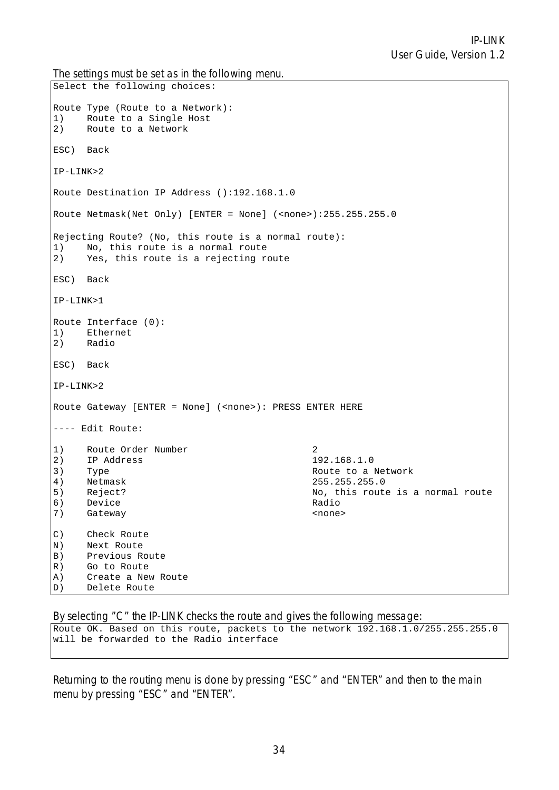The settings must be set as in the following menu.

```
Select the following choices: 
Route Type (Route to a Network): 
1) Route to a Single Host 
2) Route to a Network 
ESC) Back 
IP-LINK>2 
Route Destination IP Address ():192.168.1.0 
Route Netmask(Net Only) [ENTER = None] (<none>):255.255.255.0
Rejecting Route? (No, this route is a normal route): 
1) No, this route is a normal route 
2) Yes, this route is a rejecting route 
ESC) Back 
IP-LINK>1 
Route Interface (0): 
1) Ethernet<br>2) Radio
    2) Radio 
ESC) Back 
IP-LINK>2 
Route Gateway [ENTER = None] (<none>): PRESS ENTER HERE
---- Edit Route: 
1) Route Order Number 2 
2) IP Address 192.168.1.0 
3) Type Route to a Network
4) Netmask 255.255.255.0 
5) Reject? Refect? Research Ro, this route is a normal route
6) Device Radio 
7) Gateway <none> 
C) Check Route 
N) Next Route 
B) Previous Route 
R) Go to Route 
A) Create a New Route 
D) Delete Route
```
By selecting "C" the IP-LINK checks the route and gives the following message:

Route OK. Based on this route, packets to the network 192.168.1.0/255.255.255.0 will be forwarded to the Radio interface

Returning to the routing menu is done by pressing "ESC" and "ENTER" and then to the main menu by pressing "ESC" and "ENTER".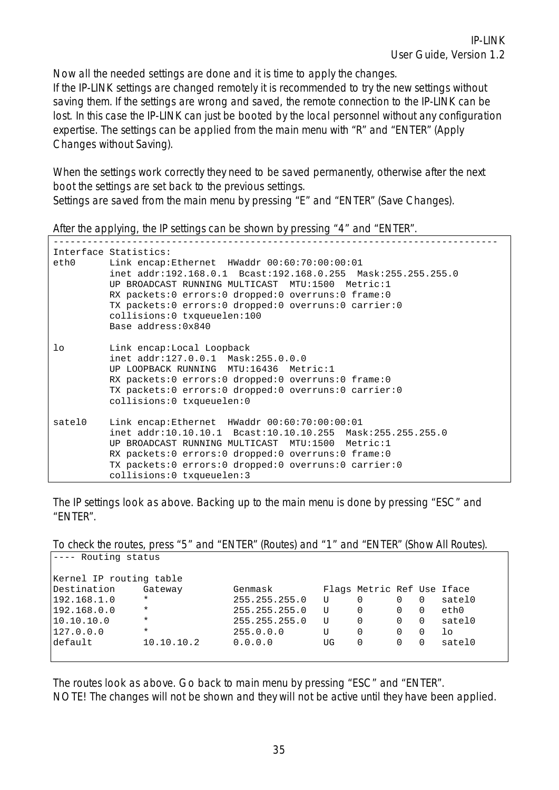Now all the needed settings are done and it is time to apply the changes. If the IP-LINK settings are changed remotely it is recommended to try the new settings without saving them. If the settings are wrong and saved, the remote connection to the IP-LINK can be lost. In this case the IP-LINK can just be booted by the local personnel without any configuration expertise. The settings can be applied from the main menu with "R" and "ENTER" (Apply Changes without Saving).

When the settings work correctly they need to be saved permanently, otherwise after the next boot the settings are set back to the previous settings. Settings are saved from the main menu by pressing "E" and "ENTER" (Save Changes).

After the applying, the IP settings can be shown by pressing "4" and "ENTER".

| ethO     | Interface Statistics:<br>Link encap:Ethernet HWaddr 00:60:70:00:00:01<br>inet addr:192.168.0.1 Bcast:192.168.0.255 Mask:255.255.255.0<br>UP BROADCAST RUNNING MULTICAST MTU:1500 Metric:1<br>RX packets:0 errors:0 dropped:0 overruns:0 frame:0<br>TX packets:0 errors:0 dropped:0 overruns:0 carrier:0<br>collisions:0 txqueuelen:100<br>Base address: 0x840 |
|----------|---------------------------------------------------------------------------------------------------------------------------------------------------------------------------------------------------------------------------------------------------------------------------------------------------------------------------------------------------------------|
| $1\circ$ | Link encap:Local Loopback<br>inet addr:127.0.0.1 Mask:255.0.0.0<br>UP LOOPBACK RUNNING MTU:16436 Metric:1<br>RX packets:0 errors:0 dropped:0 overruns:0 frame:0<br>TX packets:0 errors:0 dropped:0 overruns:0 carrier:0<br>collisions:0 txqueuelen:0                                                                                                          |
| satelO   | Link encap:Ethernet HWaddr 00:60:70:00:00:01<br>inet addr:10.10.10.1 Bcast:10.10.10.255 Mask:255.255.255.0<br>UP BROADCAST RUNNING MULTICAST MTU:1500 Metric:1<br>RX packets:0 errors:0 dropped:0 overruns:0 frame:0<br>TX packets:0 errors:0 dropped:0 overruns:0 carrier:0<br>collisions:0 txqueuelen:3                                                     |

The IP settings look as above. Backing up to the main menu is done by pressing "ESC" and "ENTER".

To check the routes, press "5" and "ENTER" (Routes) and "1" and "ENTER" (Show All Routes). ---- Routing status

| Kernel IP routing table |            |               |    |                            |   |                |        |
|-------------------------|------------|---------------|----|----------------------------|---|----------------|--------|
| Destination             | Gateway    | Genmask       |    | Flags Metric Ref Use Iface |   |                |        |
| 192.168.1.0             | $\star$    | 255.255.255.0 | U  |                            | 0 | $\Omega$       | satel0 |
| 192.168.0.0             | $\star$    | 255.255.255.0 | U  |                            |   |                | ethO   |
| 10.10.10.0              | $\star$    | 255.255.255.0 | U  | $\Omega$                   | 0 | $\overline{0}$ | satel0 |
| 127.0.0.0               | $\star$    | 255.0.0.0     | U  | 0                          |   |                | ŢΟ     |
| default                 | 10.10.10.2 | 0.0.0.0       | UG |                            |   |                | satel0 |
|                         |            |               |    |                            |   |                |        |

The routes look as above. Go back to main menu by pressing "ESC" and "ENTER". NOTE! The changes will not be shown and they will not be active until they have been applied.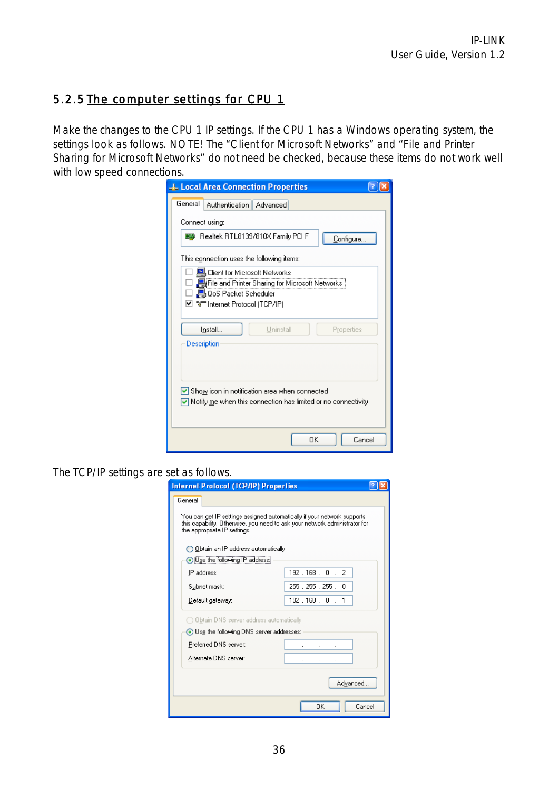### 5.2.5 The computer settings for CPU 1

Make the changes to the CPU 1 IP settings. If the CPU 1 has a Windows operating system, the settings look as follows. NOTE! The "Client for Microsoft Networks" and "File and Printer Sharing for Microsoft Networks" do not need be checked, because these items do not work well with low speed connections.

| <b>L. Local Area Connection Properties</b>                                                                                                           |  |
|------------------------------------------------------------------------------------------------------------------------------------------------------|--|
| General<br>Authentication   Advanced                                                                                                                 |  |
| Connect using:                                                                                                                                       |  |
| ■■ Realtek RTL8139/810×Family PCI F<br>Configure                                                                                                     |  |
| This connection uses the following items:                                                                                                            |  |
| Client for Microsoft Networks<br>□ ██File and Printer Sharing for Microsoft Networks  <br>□ ■ QoS Packet Scheduler<br>⊠ वि⊟nternet Protocol (TCP/IP) |  |
| Uninstall<br>Install<br>Properties<br>Description                                                                                                    |  |
| $\vee$ Show icon in notification area when connected<br>$\vee$ Notify me when this connection has limited or no connectivity                         |  |
| Cancel<br>OΚ                                                                                                                                         |  |

The TCP/IP settings are set as follows.

| <b>Internet Protocol (TCP/IP) Properties</b>                                                                                                                                           |                        |  |  |  |  |
|----------------------------------------------------------------------------------------------------------------------------------------------------------------------------------------|------------------------|--|--|--|--|
| General                                                                                                                                                                                |                        |  |  |  |  |
| You can get IP settings assigned automatically if your network supports.<br>this capability. Otherwise, you need to ask your network administrator for<br>the appropriate IP settings. |                        |  |  |  |  |
| ◯ Obtain an IP address automatically                                                                                                                                                   |                        |  |  |  |  |
| O Use the following IP address:                                                                                                                                                        |                        |  |  |  |  |
| IP address:                                                                                                                                                                            | $192.168.0$ .<br>2     |  |  |  |  |
| Subnet mask:                                                                                                                                                                           | 255 . 255 . 255 .<br>0 |  |  |  |  |
| Default gateway:                                                                                                                                                                       | 192.168.0.1            |  |  |  |  |
| Obtain DNS server address automatically                                                                                                                                                |                        |  |  |  |  |
| Use the following DNS server addresses:                                                                                                                                                |                        |  |  |  |  |
| Preferred DNS server:                                                                                                                                                                  |                        |  |  |  |  |
| Alternate DNS server:                                                                                                                                                                  |                        |  |  |  |  |
|                                                                                                                                                                                        | Advanced               |  |  |  |  |
|                                                                                                                                                                                        | ΩK<br>Cancel           |  |  |  |  |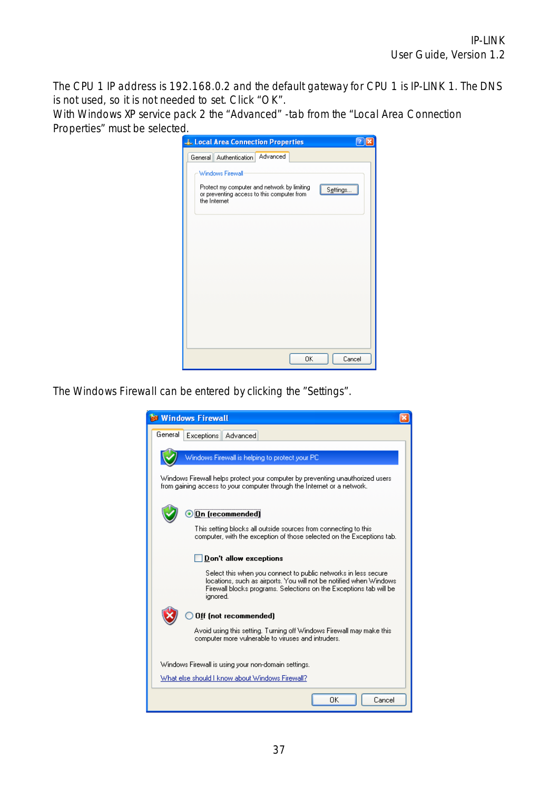The CPU 1 IP address is 192.168.0.2 and the default gateway for CPU 1 is IP-LINK 1. The DNS is not used, so it is not needed to set. Click "OK".

With Windows XP service pack 2 the "Advanced" -tab from the "Local Area Connection Properties" must be selected.



The Windows Firewall can be entered by clicking the "Settings".

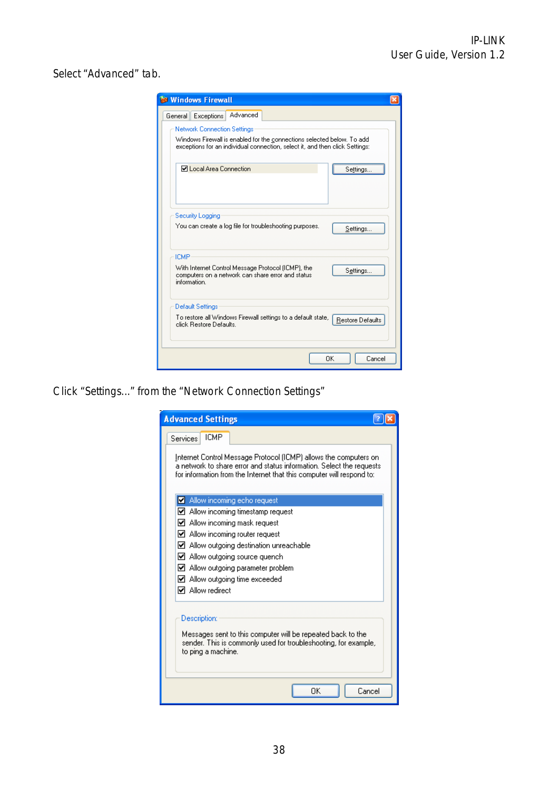Select "Advanced" tab.

| <b>Sa Windows Firewall</b>                                                                                                                                                                   |  |  |  |  |  |  |
|----------------------------------------------------------------------------------------------------------------------------------------------------------------------------------------------|--|--|--|--|--|--|
| Advanced<br>General<br>Exceptions                                                                                                                                                            |  |  |  |  |  |  |
| <b>Network Connection Settings</b><br>Windows Firewall is enabled for the connections selected below. To add<br>exceptions for an individual connection, select it, and then click Settings: |  |  |  |  |  |  |
| ☑ Local Area Connection<br>Settings                                                                                                                                                          |  |  |  |  |  |  |
| Security Logging<br>You can create a log file for troubleshooting purposes.<br>Settings                                                                                                      |  |  |  |  |  |  |
| <b>ICMP</b>                                                                                                                                                                                  |  |  |  |  |  |  |
| With Internet Control Message Protocol (ICMP), the<br>Settings<br>computers on a network can share error and status<br>information.                                                          |  |  |  |  |  |  |
| <b>Default Settings</b>                                                                                                                                                                      |  |  |  |  |  |  |
| To restore all Windows Firewall settings to a default state,<br>Restore Defaults<br>click Restore Defaults.                                                                                  |  |  |  |  |  |  |
| OK<br>Cancel                                                                                                                                                                                 |  |  |  |  |  |  |

Click "Settings..." from the "Network Connection Settings"

| <b>Advanced Settings</b>                                                                                                                                                                                          |
|-------------------------------------------------------------------------------------------------------------------------------------------------------------------------------------------------------------------|
| <b>ICMP</b><br>Services                                                                                                                                                                                           |
| Internet Control Message Protocol (ICMP) allows the computers on<br>a network to share error and status information. Select the requests<br>for information from the Internet that this computer will respond to: |
| Allow incoming echo request                                                                                                                                                                                       |
| $\boxdot$ Allow incoming timestamp request                                                                                                                                                                        |
| $\boxtimes$ Allow incoming mask request                                                                                                                                                                           |
| ■ Allow incoming router request                                                                                                                                                                                   |
| ■ Allow outgoing destination unreachable                                                                                                                                                                          |
| $\boxtimes$ Allow outgoing source quench                                                                                                                                                                          |
| $\boxdot$ Allow outgoing parameter problem                                                                                                                                                                        |
| ■ Allow outgoing time exceeded                                                                                                                                                                                    |
| <b>☑</b> Allow redirect                                                                                                                                                                                           |
| Description:<br>Messages sent to this computer will be repeated back to the<br>sender. This is commonly used for troubleshooting, for example,<br>to ping a machine.                                              |
| ΩK<br>Cancel                                                                                                                                                                                                      |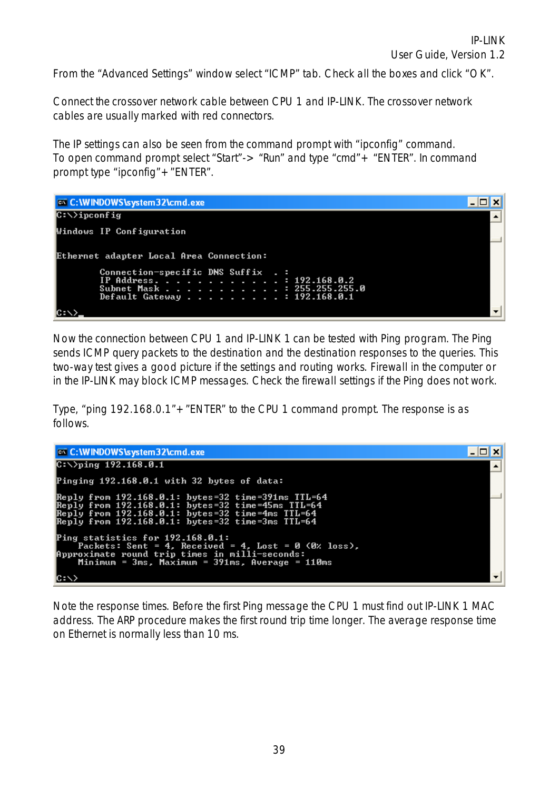From the "Advanced Settings" window select "ICMP" tab. Check all the boxes and click "OK".

Connect the crossover network cable between CPU 1 and IP-LINK. The crossover network cables are usually marked with red connectors.

The IP settings can also be seen from the command prompt with "ipconfig" command. To open command prompt select "Start"-> "Run" and type "cmd"+ "ENTER". In command prompt type "ipconfig"+"ENTER".



Now the connection between CPU 1 and IP-LINK 1 can be tested with Ping program. The Ping sends ICMP query packets to the destination and the destination responses to the queries. This two-way test gives a good picture if the settings and routing works. Firewall in the computer or in the IP-LINK may block ICMP messages. Check the firewall settings if the Ping does not work.

Type, "ping 192.168.0.1"+"ENTER" to the CPU 1 command prompt. The response is as follows.



Note the response times. Before the first Ping message the CPU 1 must find out IP-LINK 1 MAC address. The ARP procedure makes the first round trip time longer. The average response time on Ethernet is normally less than 10 ms.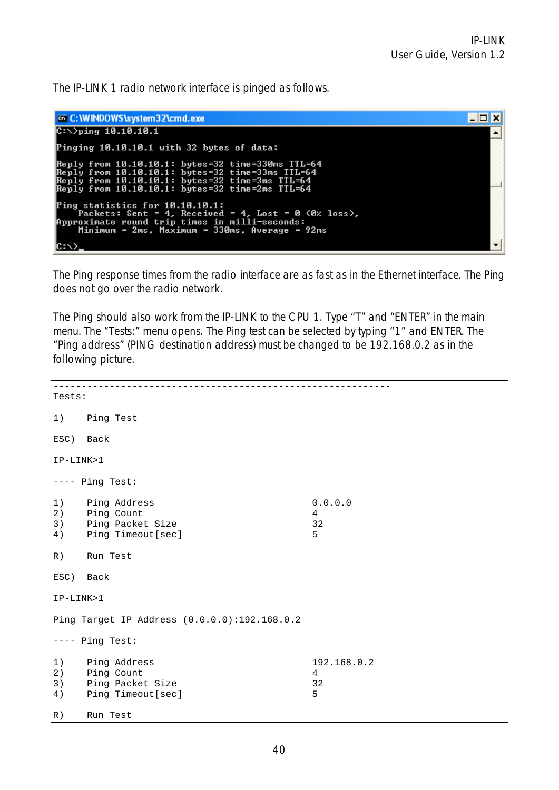The IP-LINK 1 radio network interface is pinged as follows.



The Ping response times from the radio interface are as fast as in the Ethernet interface. The Ping does not go over the radio network.

The Ping should also work from the IP-LINK to the CPU 1. Type "T" and "ENTER" in the main menu. The "Tests:" menu opens. The Ping test can be selected by typing "1" and ENTER. The "Ping address" (PING destination address) must be changed to be 192.168.0.2 as in the following picture.

| Tests:               |                                                                     |                             |
|----------------------|---------------------------------------------------------------------|-----------------------------|
| 1)                   | Ping Test                                                           |                             |
| ESC) Back            |                                                                     |                             |
| IP-LINK>1            |                                                                     |                             |
|                      | $---$ Ping Test:                                                    |                             |
| 1)<br>2)<br>3)<br>4) | Ping Address<br>Ping Count<br>Ping Packet Size<br>Ping Timeout[sec] | 0.0.0.0<br>4<br>32<br>5     |
| R)                   | Run Test                                                            |                             |
| ESC) Back            |                                                                     |                             |
| IP-LINK>1            |                                                                     |                             |
|                      | Ping Target IP Address (0.0.0.0):192.168.0.2                        |                             |
|                      | $---$ Ping Test:                                                    |                             |
| 1)<br>2)<br>3)<br>4) | Ping Address<br>Ping Count<br>Ping Packet Size<br>Ping Timeout[sec] | 192.168.0.2<br>4<br>32<br>5 |
| R)                   | Run Test                                                            |                             |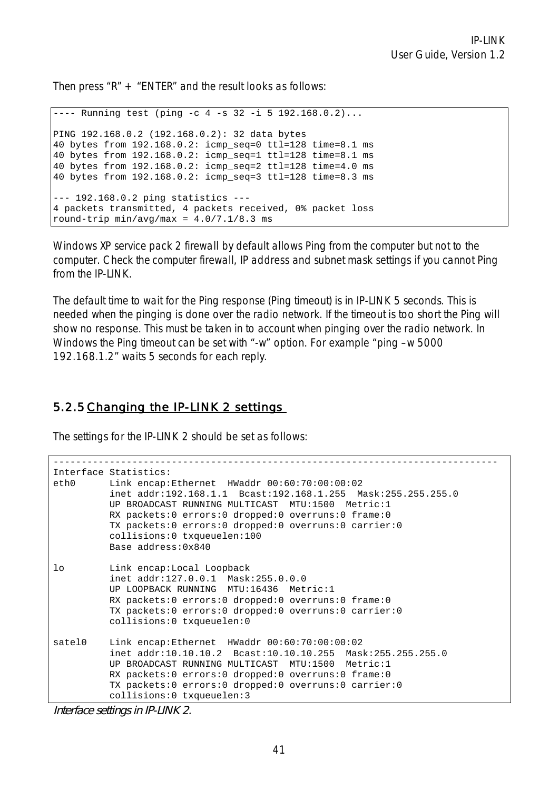Then press  $"R" + "ENTER"$  and the result looks as follows:

 $---$  Running test (ping  $-c$  4  $-s$  32  $-i$  5 192.168.0.2)... PING 192.168.0.2 (192.168.0.2): 32 data bytes 40 bytes from 192.168.0.2: icmp\_seq=0 ttl=128 time=8.1 ms 40 bytes from 192.168.0.2: icmp\_seq=1 ttl=128 time=8.1 ms 40 bytes from 192.168.0.2: icmp\_seq=2 ttl=128 time=4.0 ms 40 bytes from 192.168.0.2: icmp\_seq=3 ttl=128 time=8.3 ms --- 192.168.0.2 ping statistics --- 4 packets transmitted, 4 packets received, 0% packet loss round-trip  $min/avg/max = 4.0/7.1/8.3$  ms

Windows XP service pack 2 firewall by default allows Ping from the computer but not to the computer. Check the computer firewall, IP address and subnet mask settings if you cannot Ping from the IP-LINK.

The default time to wait for the Ping response (Ping timeout) is in IP-LINK 5 seconds. This is needed when the pinging is done over the radio network. If the timeout is too short the Ping will show no response. This must be taken in to account when pinging over the radio network. In Windows the Ping timeout can be set with "-w" option. For example "ping –w 5000 192.168.1.2" waits 5 seconds for each reply.

#### 5.2.5 Changing the IP-LINK 2 settings

The settings for the IP-LINK 2 should be set as follows:

```
------------------------------------------------------------------------------- 
Interface Statistics: 
eth0 Link encap:Ethernet HWaddr 00:60:70:00:00:02 
           inet addr:192.168.1.1 Bcast:192.168.1.255 Mask:255.255.255.0 
           UP BROADCAST RUNNING MULTICAST MTU:1500 Metric:1 
           RX packets:0 errors:0 dropped:0 overruns:0 frame:0 
           TX packets:0 errors:0 dropped:0 overruns:0 carrier:0 
           collisions:0 txqueuelen:100 
           Base address:0x840 
lo Link encap:Local Loopback 
           inet addr:127.0.0.1 Mask:255.0.0.0 
           UP LOOPBACK RUNNING MTU:16436 Metric:1 
           RX packets:0 errors:0 dropped:0 overruns:0 frame:0 
           TX packets:0 errors:0 dropped:0 overruns:0 carrier:0 
           collisions:0 txqueuelen:0 
satel0 Link encap:Ethernet HWaddr 00:60:70:00:00:02 
           inet addr:10.10.10.2 Bcast:10.10.10.255 Mask:255.255.255.0 
           UP BROADCAST RUNNING MULTICAST MTU:1500 Metric:1 
           RX packets:0 errors:0 dropped:0 overruns:0 frame:0 
           TX packets:0 errors:0 dropped:0 overruns:0 carrier:0 
           collisions:0 txqueuelen:3
```

```
Interface settings in IP-LINK 2.
```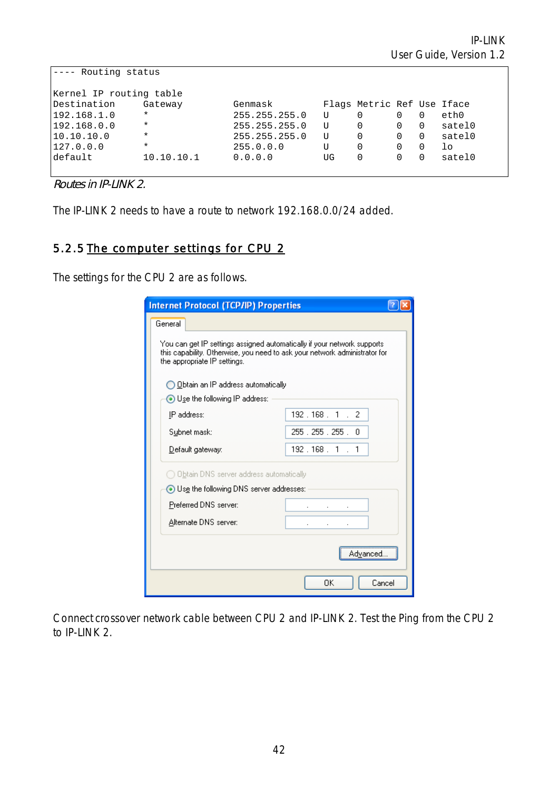| Routing status          |            |               |    |                            |          |          |          |
|-------------------------|------------|---------------|----|----------------------------|----------|----------|----------|
| Kernel IP routing table |            |               |    |                            |          |          |          |
| Destination             | Gateway    | Genmask       |    | Flags Metric Ref Use Iface |          |          |          |
| 192.168.1.0             | $\star$    | 255.255.255.0 | U  |                            | 0        | $\Omega$ | eth0     |
| 192.168.0.0             | $\star$    | 255.255.255.0 | ŢJ | 0                          | 0        | $\Omega$ | satel0   |
| 10.10.10.0              | $^\star$   | 255.255.255.0 | ŢJ | $\Omega$                   | $\Omega$ | $\Omega$ | satel0   |
| 127.0.0.0               | $^\star$   | 255.0.0.0     | U  | 0                          | $\Omega$ | 0        | $1\circ$ |
| default                 | 10.10.10.1 | 0.0.0.0       | UG | 0                          | 0        | 0        | satel0   |
|                         |            |               |    |                            |          |          |          |

Routes in IP-LINK 2.

The IP-LINK 2 needs to have a route to network 192.168.0.0/24 added.

### 5.2.5 The computer settings for CPU 2

The settings for the CPU 2 are as follows.

| <b>Internet Protocol (TCP/IP) Properties</b>                                                                                                                                           |                     |  |  |  |  |  |  |  |
|----------------------------------------------------------------------------------------------------------------------------------------------------------------------------------------|---------------------|--|--|--|--|--|--|--|
| General                                                                                                                                                                                |                     |  |  |  |  |  |  |  |
| You can get IP settings assigned automatically if your network supports.<br>this capability. Otherwise, you need to ask your network administrator for<br>the appropriate IP settings. |                     |  |  |  |  |  |  |  |
| ◯ Obtain an IP address automatically                                                                                                                                                   |                     |  |  |  |  |  |  |  |
| ⊙ Use the following IP address:                                                                                                                                                        |                     |  |  |  |  |  |  |  |
| IP address:                                                                                                                                                                            | 192.168.1.2         |  |  |  |  |  |  |  |
| Subnet mask:                                                                                                                                                                           | 255 . 255 . 255 . 0 |  |  |  |  |  |  |  |
| Default gateway:                                                                                                                                                                       | 192.168.1.1         |  |  |  |  |  |  |  |
| $\supset$ Obtain DNS server address automatically.                                                                                                                                     |                     |  |  |  |  |  |  |  |
| ⊙ Use the following DNS server addresses:                                                                                                                                              |                     |  |  |  |  |  |  |  |
| Preferred DNS server:                                                                                                                                                                  |                     |  |  |  |  |  |  |  |
| Alternate DNS server:                                                                                                                                                                  |                     |  |  |  |  |  |  |  |
| Advanced                                                                                                                                                                               |                     |  |  |  |  |  |  |  |
| Cancel<br>OΚ                                                                                                                                                                           |                     |  |  |  |  |  |  |  |

Connect crossover network cable between CPU 2 and IP-LINK 2. Test the Ping from the CPU 2 to IP-LINK 2.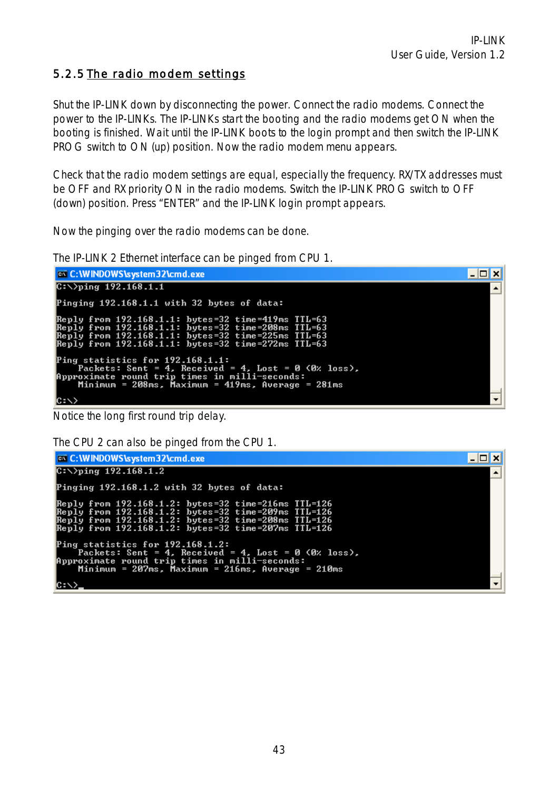### 5.2.5 The radio modem settings

Shut the IP-LINK down by disconnecting the power. Connect the radio modems. Connect the power to the IP-LINKs. The IP-LINKs start the booting and the radio modems get ON when the booting is finished. Wait until the IP-LINK boots to the login prompt and then switch the IP-LINK PROG switch to ON (up) position. Now the radio modem menu appears.

Check that the radio modem settings are equal, especially the frequency. RX/TX addresses must be OFF and RX priority ON in the radio modems. Switch the IP-LINK PROG switch to OFF (down) position. Press "ENTER" and the IP-LINK login prompt appears.

Now the pinging over the radio modems can be done.

The IP-LINK 2 Ethernet interface can be pinged from CPU 1.

| <b>EXEC: WINDOWS\system32\cmd.exe</b>                                                                                                                                                                                 |  |
|-----------------------------------------------------------------------------------------------------------------------------------------------------------------------------------------------------------------------|--|
| $ C:\rangle$ )ping 192.168.1.1                                                                                                                                                                                        |  |
| Pinging 192.168.1.1 with 32 bytes of data:                                                                                                                                                                            |  |
| Reply from 192.168.1.1: bytes=32 time=419ms TTL=63<br> Reply from 192.168.1.1: bytes=32 time=208ms TTL=63<br>Reply from 192.168.1.1: bytes=32 time=225ms TTL=63<br>Reply from 192.168.1.1: bytes=32 time=272ms TTL=63 |  |
| Ping statistics for 192.168.1.1:<br>Packets: Sent = 4, Received = 4, Lost = 0 $(0x \text{ loss})$ ,                                                                                                                   |  |
| Approximate round trip times in milli-seconds:<br>Minimum = $208ms$ , Maximum = $419ms$ , Average = $281ms$                                                                                                           |  |
|                                                                                                                                                                                                                       |  |

Notice the long first round trip delay.

The CPU 2 can also be pinged from the CPU 1.

```
ex C: WINDOWS \system 32\cmd.exe
                                                                                                                                                                                                              \Boxolxi
C:\rightarrowping 192.168.1.2
                                                                                                                                                                                                                          \blacktrianglePinging 192.168.1.2 with 32 bytes of data:
Reply from 192.168.1.2: bytes=32 time=216ms TTL=126<br>Reply from 192.168.1.2: bytes=32 time=209ms TTL=126<br>Reply from 192.168.1.2: bytes=32 time=208ms TTL=126<br>Reply from 192.168.1.2: bytes=32 time=207ms TTL=126
Ping statistics for 192.168.1.2:<br>Packets: Sent = 4, Received = 4, Lost = 0 (0% loss),<br>Approximate round trip times in milli-seconds:<br>Minimum = 207ms, Maximum = 216ms, Average = 210ms
\ket{\text{c}: \smallsetminus}
```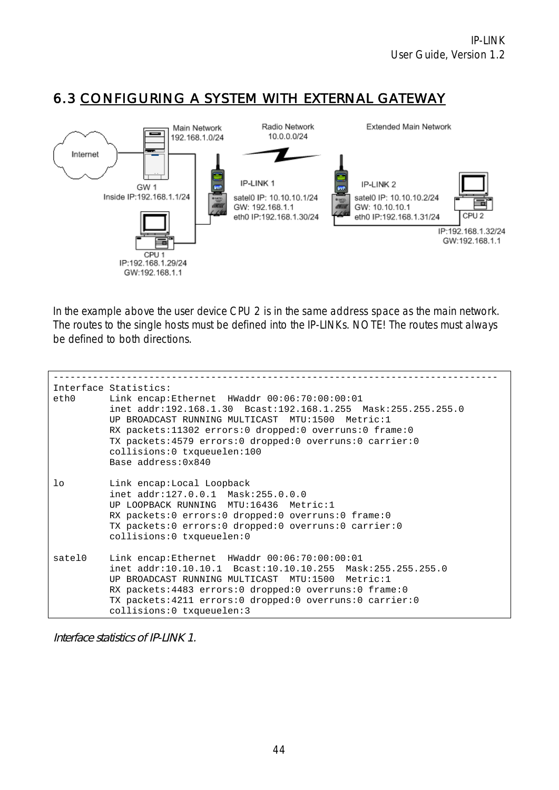## 6.3 CONFIGURING A SYSTEM WITH EXTERNAL GATEWAY



In the example above the user device CPU 2 is in the same address space as the main network. The routes to the single hosts must be defined into the IP-LINKs. NOTE! The routes must always be defined to both directions.

| eth0 at  | Interface Statistics:<br>Link encap:Ethernet HWaddr 00:06:70:00:00:01<br>inet addr:192.168.1.30 Bcast:192.168.1.255 Mask:255.255.255.0<br>UP BROADCAST RUNNING MULTICAST MTU:1500 Metric:1<br>RX packets:11302 errors:0 dropped:0 overruns:0 frame:0<br>TX packets:4579 errors:0 dropped:0 overruns:0 carrier:0<br>collisions:0 txqueuelen:100<br>Base address: 0x840 |
|----------|-----------------------------------------------------------------------------------------------------------------------------------------------------------------------------------------------------------------------------------------------------------------------------------------------------------------------------------------------------------------------|
| $1\circ$ | Link encap:Local Loopback<br>inet addr:127.0.0.1 Mask:255.0.0.0<br>UP LOOPBACK RUNNING MTU:16436 Metric:1<br>RX packets:0 errors:0 dropped:0 overruns:0 frame:0<br>TX packets:0 errors:0 dropped:0 overruns:0 carrier:0<br>collisions:0 txqueuelen:0                                                                                                                  |
| satel0   | Link encap:Ethernet HWaddr 00:06:70:00:00:01<br>inet addr:10.10.10.1 Bcast:10.10.10.255 Mask:255.255.255.0<br>UP BROADCAST RUNNING MULTICAST MTU:1500 Metric:1<br>RX packets:4483 errors:0 dropped:0 overruns:0 frame:0<br>TX packets:4211 errors:0 dropped:0 overruns:0 carrier:0<br>collisions: 0 txqueuelen: 3                                                     |

Interface statistics of IP-LINK 1.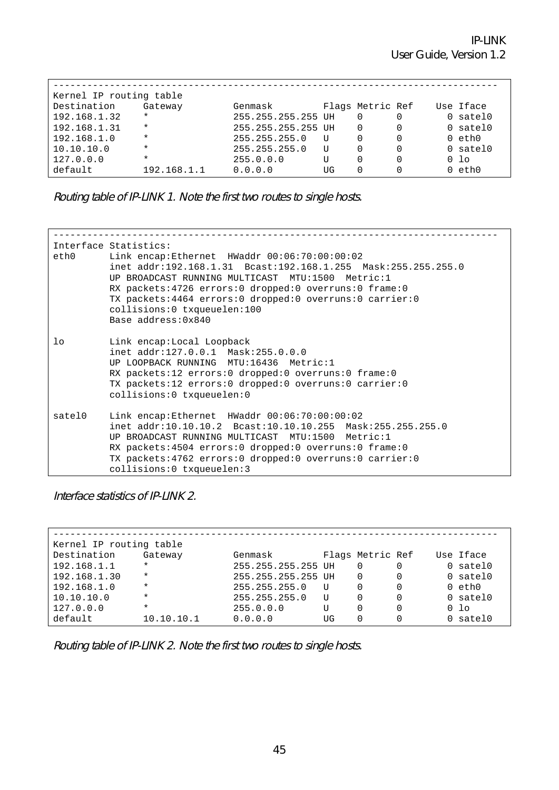| Kernel IP routing table |             |                    |    |                  |   |  |                 |
|-------------------------|-------------|--------------------|----|------------------|---|--|-----------------|
| Destination             | Gateway     | Genmask            |    | Flags Metric Ref |   |  | Use Iface       |
| 192.168.1.32            | $\star$     | 255.255.255.255 UH |    |                  |   |  | 0 satel0        |
| 192.168.1.31            | $\star$     | 255.255.255.255 UH |    | $\Omega$         | 0 |  | $0$ satel $0$   |
| 192.168.1.0             | $\star$     | 255.255.255.0      | U  | $\Omega$         | 0 |  | $0$ eth $0$     |
| 10.10.10.0              | $\star$     | 255.255.255.0      | U  |                  |   |  | $0$ satel $0$   |
| 127.0.0.0               | $\star$     | 255.0.0.0          | U  |                  | 0 |  | 0 <sub>10</sub> |
| default                 | 192.168.1.1 | 0.0.0.0            | UG |                  |   |  | eth0            |

Routing table of IP-LINK 1. Note the first two routes to single hosts.

| ethO     | Interface Statistics:<br>Link encap:Ethernet HWaddr 00:06:70:00:00:02<br>inet addr:192.168.1.31 Bcast:192.168.1.255 Mask:255.255.255.0<br>UP BROADCAST RUNNING MULTICAST MTU:1500 Metric:1<br>RX packets:4726 errors:0 dropped:0 overruns:0 frame:0<br>TX packets: 4464 errors: 0 dropped: 0 overruns: 0 carrier: 0<br>collisions:0 txqueuelen:100<br>Base address: 0x840 |
|----------|---------------------------------------------------------------------------------------------------------------------------------------------------------------------------------------------------------------------------------------------------------------------------------------------------------------------------------------------------------------------------|
| $1\circ$ | Link encap:Local Loopback<br>inet addr:127.0.0.1 Mask:255.0.0.0<br>UP LOOPBACK RUNNING MTU:16436 Metric:1<br>RX packets:12 errors:0 dropped:0 overruns:0 frame:0<br>TX packets:12 errors:0 dropped:0 overruns:0 carrier:0<br>collisions:0 txqueuelen:0                                                                                                                    |
| satelO   | Link encap:Ethernet HWaddr 00:06:70:00:00:02<br>inet addr:10.10.10.2 Bcast:10.10.10.255 Mask:255.255.255.0<br>UP BROADCAST RUNNING MULTICAST MTU:1500 Metric:1<br>RX packets:4504 errors:0 dropped:0 overruns:0 frame:0<br>TX packets: 4762 errors: 0 dropped: 0 overruns: 0 carrier: 0<br>collisions:0 txqueuelen:3                                                      |

Interface statistics of IP-LINK 2.

| Kernel IP routing table |            |                    |    |                  |  |  |                 |
|-------------------------|------------|--------------------|----|------------------|--|--|-----------------|
| Destination             | Gateway    | Genmask            |    | Flags Metric Ref |  |  | Use Iface       |
| 192.168.1.1             | $\star$    | 255.255.255.255 UH |    | 0                |  |  | 0 satel0        |
| 192.168.1.30            | $\star$    | 255.255.255.255 UH |    | 0                |  |  | $0$ satel $0$   |
| 192.168.1.0             | $\star$    | 255.255.255.0      | U  | 0                |  |  | $0$ eth $0$     |
| 10.10.10.0              | $\star$    | 255.255.255.0      | ŢŢ | 0                |  |  | $0$ satel $0$   |
| 127.0.0.0               | $\star$    | 255.0.0.0          | U  | O                |  |  | 0 <sub>10</sub> |
| default                 | 10.10.10.1 | 0.0.0.0            | UG | 0                |  |  | 0 satel0        |

Routing table of IP-LINK 2. Note the first two routes to single hosts.